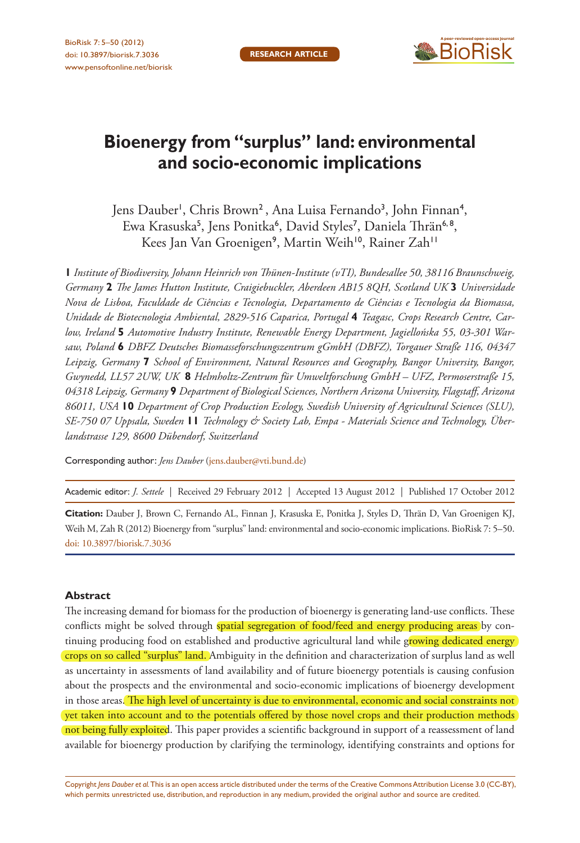

# **Bioenergy from "surplus" land: environmental and socio-economic implications**

Jens Dauber', Chris Brown<sup>2</sup>, Ana Luisa Fernando<sup>3</sup>, John Finnan<sup>4</sup>, Ewa Krasuska<sup>5</sup>, Jens Ponitka<sup>6</sup>, David Styles<sup>7</sup>, Daniela Thrän<sup>6,8</sup>, Kees Jan Van Groenigen<sup>9</sup>, Martin Weih<sup>10</sup>, Rainer Zah<sup>11</sup>

**1** *Institute of Biodiversity, Johann Heinrich von Thünen-Institute (vTI), Bundesallee 50, 38116 Braunschweig, Germany* **2** *The James Hutton Institute, Craigiebuckler, Aberdeen AB15 8QH, Scotland UK* **3** *Universidade Nova de Lisboa, Faculdade de Ciências e Tecnologia, Departamento de Ciências e Tecnologia da Biomassa, Unidade de Biotecnologia Ambiental, 2829-516 Caparica, Portugal* **4** *Teagasc, Crops Research Centre, Carlow, Ireland* **5** *Automotive Industry Institute, Renewable Energy Department, Jagiellońska 55, 03-301 Warsaw, Poland* **6** *DBFZ Deutsches Biomasseforschungszentrum gGmbH (DBFZ), Torgauer Straße 116, 04347 Leipzig, Germany* **7** *School of Environment, Natural Resources and Geography, Bangor University, Bangor, Gwynedd, LL57 2UW, UK* **8** *Helmholtz-Zentrum für Umweltforschung GmbH – UFZ, Permoserstraße 15, 04318 Leipzig, Germany* **9** *Department of Biological Sciences, Northern Arizona University, Flagstaff, Arizona 86011, USA* **10** *Department of Crop Production Ecology, Swedish University of Agricultural Sciences (SLU), SE-750 07 Uppsala, Sweden* **11** *Technology & Society Lab, Empa - Materials Science and Technology, Überlandstrasse 129, 8600 Dübendorf, Switzerland*

Corresponding author: *Jens Dauber* [\(jens.dauber@vti.bund.de\)](mailto:jens.dauber@vti.bund.de)

Academic editor: *J. Settele* | Received 29 February 2012 | Accepted 13 August 2012 | Published 17 October 2012

**Citation:** Dauber J, Brown C, Fernando AL, Finnan J, Krasuska E, Ponitka J, Styles D, Thrän D, Van Groenigen KJ, Weih M, Zah R (2012) Bioenergy from "surplus" land: environmental and socio-economic implications. BioRisk 7: 5–50. [doi: 10.3897/biorisk.7.3036](http://dx.doi.org/10.3897/biorisk.7.3036)

# **Abstract**

The increasing demand for biomass for the production of bioenergy is generating land-use conflicts. These conflicts might be solved through spatial segregation of food/feed and energy producing areas by continuing producing food on established and productive agricultural land while growing dedicated energy crops on so called "surplus" land. Ambiguity in the definition and characterization of surplus land as well as uncertainty in assessments of land availability and of future bioenergy potentials is causing confusion about the prospects and the environmental and socio-economic implications of bioenergy development in those areas. The high level of uncertainty is due to environmental, economic and social constraints not yet taken into account and to the potentials offered by those novel crops and their production methods not being fully exploited. This paper provides a scientific background in support of a reassessment of land available for bioenergy production by clarifying the terminology, identifying constraints and options for

Copyright *Jens Dauber et al.* This is an open access article distributed under the terms of the [Creative Commons Attribution License 3.0 \(CC-BY\)](http://creativecommons.org/licenses/by/3.0/), which permits unrestricted use, distribution, and reproduction in any medium, provided the original author and source are credited.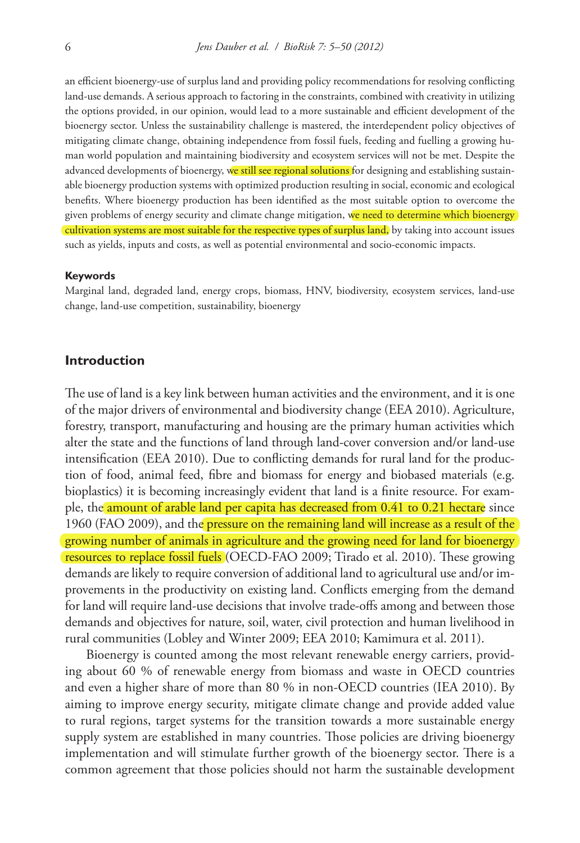an efficient bioenergy-use of surplus land and providing policy recommendations for resolving conflicting land-use demands. A serious approach to factoring in the constraints, combined with creativity in utilizing the options provided, in our opinion, would lead to a more sustainable and efficient development of the bioenergy sector. Unless the sustainability challenge is mastered, the interdependent policy objectives of mitigating climate change, obtaining independence from fossil fuels, feeding and fuelling a growing human world population and maintaining biodiversity and ecosystem services will not be met. Despite the advanced developments of bioenergy, we still see regional solutions for designing and establishing sustainable bioenergy production systems with optimized production resulting in social, economic and ecological benefits. Where bioenergy production has been identified as the most suitable option to overcome the given problems of energy security and climate change mitigation, we need to determine which bioenergy cultivation systems are most suitable for the respective types of surplus land, by taking into account issues such as yields, inputs and costs, as well as potential environmental and socio-economic impacts.

#### **Keywords**

Marginal land, degraded land, energy crops, biomass, HNV, biodiversity, ecosystem services, land-use change, land-use competition, sustainability, bioenergy

# **Introduction**

The use of land is a key link between human activities and the environment, and it is one of the major drivers of environmental and biodiversity change (EEA 2010). Agriculture, forestry, transport, manufacturing and housing are the primary human activities which alter the state and the functions of land through land-cover conversion and/or land-use intensification (EEA 2010). Due to conflicting demands for rural land for the production of food, animal feed, fibre and biomass for energy and biobased materials (e.g. bioplastics) it is becoming increasingly evident that land is a finite resource. For example, the amount of arable land per capita has decreased from 0.41 to 0.21 hectare since 1960 (FAO 2009), and the pressure on the remaining land will increase as a result of the growing number of animals in agriculture and the growing need for land for bioenergy resources to replace fossil fuels (OECD-FAO 2009; Tirado et al. 2010). These growing demands are likely to require conversion of additional land to agricultural use and/or improvements in the productivity on existing land. Conflicts emerging from the demand for land will require land-use decisions that involve trade-offs among and between those demands and objectives for nature, soil, water, civil protection and human livelihood in rural communities (Lobley and Winter 2009; EEA 2010; Kamimura et al. 2011).

Bioenergy is counted among the most relevant renewable energy carriers, providing about 60 % of renewable energy from biomass and waste in OECD countries and even a higher share of more than 80 % in non-OECD countries (IEA 2010). By aiming to improve energy security, mitigate climate change and provide added value to rural regions, target systems for the transition towards a more sustainable energy supply system are established in many countries. Those policies are driving bioenergy implementation and will stimulate further growth of the bioenergy sector. There is a common agreement that those policies should not harm the sustainable development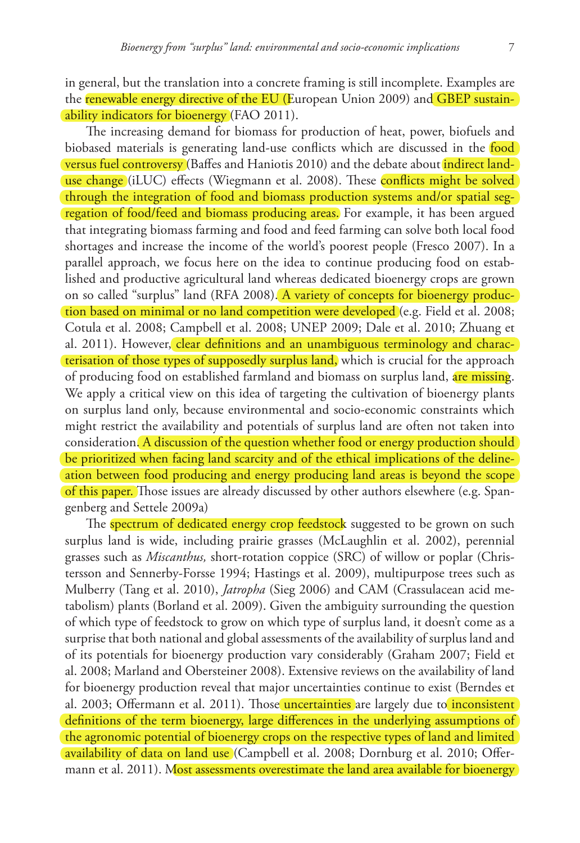in general, but the translation into a concrete framing is still incomplete. Examples are the renewable energy directive of the EU (European Union 2009) and GBEP sustainability indicators for bioenergy (FAO 2011).

The increasing demand for biomass for production of heat, power, biofuels and biobased materials is generating land-use conflicts which are discussed in the **food** versus fuel controversy (Baffes and Haniotis 2010) and the debate about indirect landuse change (iLUC) effects (Wiegmann et al. 2008). These conflicts might be solved through the integration of food and biomass production systems and/or spatial segregation of food/feed and biomass producing areas. For example, it has been argued that integrating biomass farming and food and feed farming can solve both local food shortages and increase the income of the world's poorest people (Fresco 2007). In a parallel approach, we focus here on the idea to continue producing food on established and productive agricultural land whereas dedicated bioenergy crops are grown on so called "surplus" land (RFA 2008). A variety of concepts for bioenergy production based on minimal or no land competition were developed (e.g. Field et al. 2008; Cotula et al. 2008; Campbell et al. 2008; UNEP 2009; Dale et al. 2010; Zhuang et al. 2011). However, clear definitions and an unambiguous terminology and characterisation of those types of supposedly surplus land, which is crucial for the approach of producing food on established farmland and biomass on surplus land, are missing. We apply a critical view on this idea of targeting the cultivation of bioenergy plants on surplus land only, because environmental and socio-economic constraints which might restrict the availability and potentials of surplus land are often not taken into consideration. A discussion of the question whether food or energy production should be prioritized when facing land scarcity and of the ethical implications of the delineation between food producing and energy producing land areas is beyond the scope of this paper. Those issues are already discussed by other authors elsewhere (e.g. Spangenberg and Settele 2009a)

The spectrum of dedicated energy crop feedstock suggested to be grown on such surplus land is wide, including prairie grasses (McLaughlin et al. 2002), perennial grasses such as *Miscanthus,* short-rotation coppice (SRC) of willow or poplar (Christersson and Sennerby-Forsse 1994; Hastings et al. 2009), multipurpose trees such as Mulberry (Tang et al. 2010), *Jatropha* (Sieg 2006) and CAM (Crassulacean acid metabolism) plants (Borland et al. 2009). Given the ambiguity surrounding the question of which type of feedstock to grow on which type of surplus land, it doesn't come as a surprise that both national and global assessments of the availability of surplus land and of its potentials for bioenergy production vary considerably (Graham 2007; Field et al. 2008; Marland and Obersteiner 2008). Extensive reviews on the availability of land for bioenergy production reveal that major uncertainties continue to exist (Berndes et al. 2003; Offermann et al. 2011). Those uncertainties are largely due to *inconsistent* definitions of the term bioenergy, large differences in the underlying assumptions of the agronomic potential of bioenergy crops on the respective types of land and limited availability of data on land use (Campbell et al. 2008; Dornburg et al. 2010; Offermann et al. 2011). Most assessments overestimate the land area available for bioenergy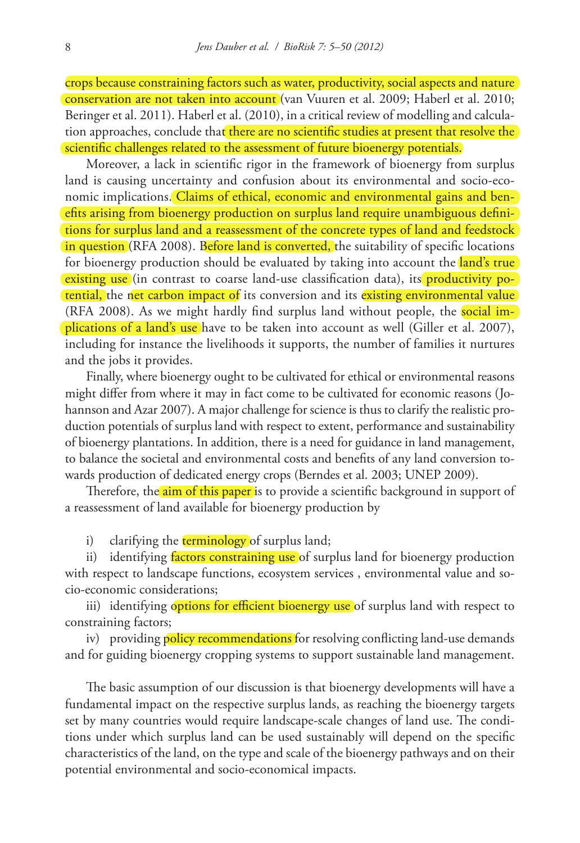crops because constraining factors such as water, productivity, social aspects and nature conservation are not taken into account (van Vuuren et al. 2009; Haberl et al. 2010; Beringer et al. 2011). Haberl et al. (2010), in a critical review of modelling and calculation approaches, conclude that there are no scientific studies at present that resolve the scientific challenges related to the assessment of future bioenergy potentials.

Moreover, a lack in scientific rigor in the framework of bioenergy from surplus land is causing uncertainty and confusion about its environmental and socio-economic implications. Claims of ethical, economic and environmental gains and benefits arising from bioenergy production on surplus land require unambiguous definitions for surplus land and a reassessment of the concrete types of land and feedstock in question (RFA 2008). Before land is converted, the suitability of specific locations for bioenergy production should be evaluated by taking into account the land's true existing use (in contrast to coarse land-use classification data), its productivity potential, the net carbon impact of its conversion and its existing environmental value (RFA 2008). As we might hardly find surplus land without people, the social implications of a land's use have to be taken into account as well (Giller et al. 2007), including for instance the livelihoods it supports, the number of families it nurtures and the jobs it provides.

Finally, where bioenergy ought to be cultivated for ethical or environmental reasons might differ from where it may in fact come to be cultivated for economic reasons (Johannson and Azar 2007). A major challenge for science is thus to clarify the realistic production potentials of surplus land with respect to extent, performance and sustainability of bioenergy plantations. In addition, there is a need for guidance in land management, to balance the societal and environmental costs and benefits of any land conversion towards production of dedicated energy crops (Berndes et al. 2003; UNEP 2009).

Therefore, the *aim of this paper* is to provide a scientific background in support of a reassessment of land available for bioenergy production by

i) clarifying the **terminology** of surplus land;

ii) identifying **factors constraining use** of surplus land for bioenergy production with respect to landscape functions, ecosystem services , environmental value and socio-economic considerations;

iii) identifying options for efficient bioenergy use of surplus land with respect to constraining factors;

iv) providing policy recommendations for resolving conflicting land-use demands and for guiding bioenergy cropping systems to support sustainable land management.

The basic assumption of our discussion is that bioenergy developments will have a fundamental impact on the respective surplus lands, as reaching the bioenergy targets set by many countries would require landscape-scale changes of land use. The conditions under which surplus land can be used sustainably will depend on the specific characteristics of the land, on the type and scale of the bioenergy pathways and on their potential environmental and socio-economical impacts.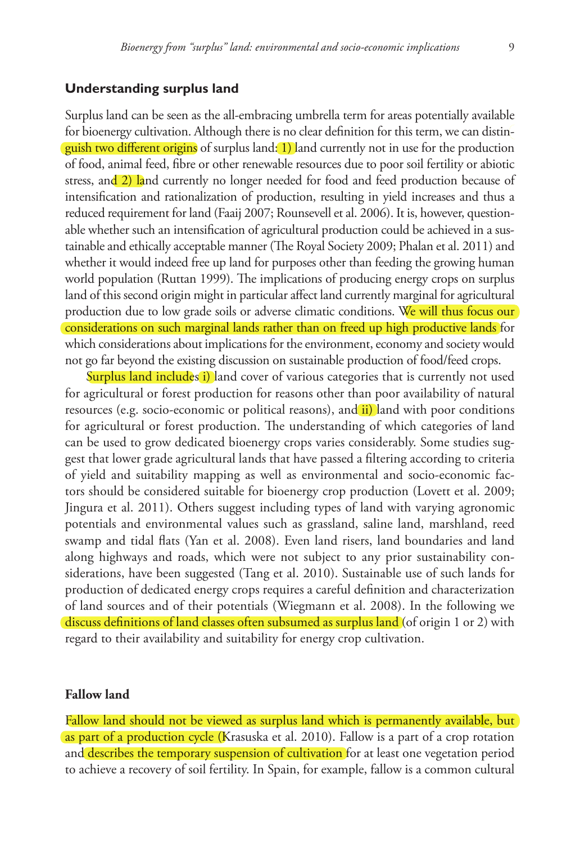# **Understanding surplus land**

Surplus land can be seen as the all-embracing umbrella term for areas potentially available for bioenergy cultivation. Although there is no clear definition for this term, we can distinguish two different origins of surplus land: 1) land currently not in use for the production of food, animal feed, fibre or other renewable resources due to poor soil fertility or abiotic stress, and 2) land currently no longer needed for food and feed production because of intensification and rationalization of production, resulting in yield increases and thus a reduced requirement for land (Faaij 2007; Rounsevell et al. 2006). It is, however, questionable whether such an intensification of agricultural production could be achieved in a sustainable and ethically acceptable manner (The Royal Society 2009; Phalan et al. 2011) and whether it would indeed free up land for purposes other than feeding the growing human world population (Ruttan 1999). The implications of producing energy crops on surplus land of this second origin might in particular affect land currently marginal for agricultural production due to low grade soils or adverse climatic conditions. We will thus focus our considerations on such marginal lands rather than on freed up high productive lands for which considerations about implications for the environment, economy and society would not go far beyond the existing discussion on sustainable production of food/feed crops.

Surplus land includes i) land cover of various categories that is currently not used for agricultural or forest production for reasons other than poor availability of natural resources (e.g. socio-economic or political reasons), and ii) land with poor conditions for agricultural or forest production. The understanding of which categories of land can be used to grow dedicated bioenergy crops varies considerably. Some studies suggest that lower grade agricultural lands that have passed a filtering according to criteria of yield and suitability mapping as well as environmental and socio-economic factors should be considered suitable for bioenergy crop production (Lovett et al. 2009; Jingura et al. 2011). Others suggest including types of land with varying agronomic potentials and environmental values such as grassland, saline land, marshland, reed swamp and tidal flats (Yan et al. 2008). Even land risers, land boundaries and land along highways and roads, which were not subject to any prior sustainability considerations, have been suggested (Tang et al. 2010). Sustainable use of such lands for production of dedicated energy crops requires a careful definition and characterization of land sources and of their potentials (Wiegmann et al. 2008). In the following we discuss definitions of land classes often subsumed as surplus land (of origin 1 or 2) with regard to their availability and suitability for energy crop cultivation.

# **Fallow land**

Fallow land should not be viewed as surplus land which is permanently available, but as part of a production cycle (Krasuska et al. 2010). Fallow is a part of a crop rotation and describes the temporary suspension of cultivation for at least one vegetation period to achieve a recovery of soil fertility. In Spain, for example, fallow is a common cultural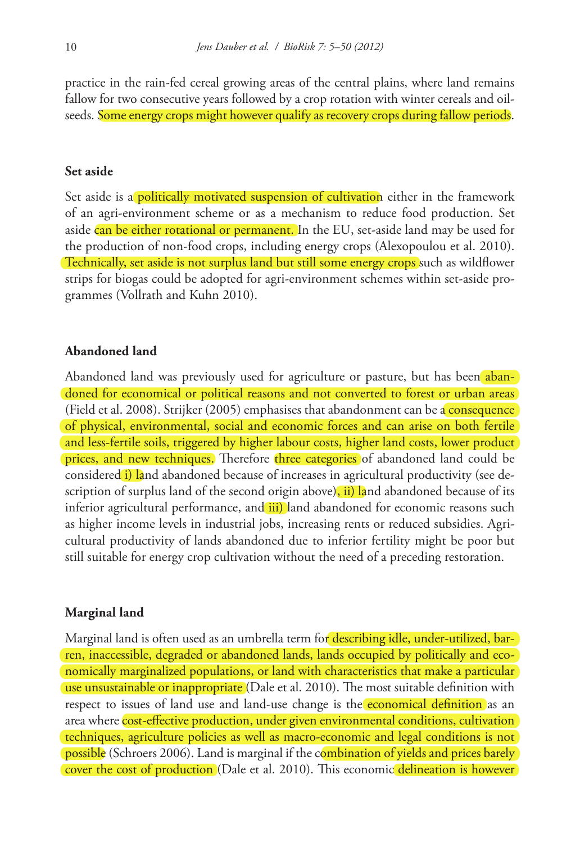practice in the rain-fed cereal growing areas of the central plains, where land remains fallow for two consecutive years followed by a crop rotation with winter cereals and oilseeds. Some energy crops might however qualify as recovery crops during fallow periods.

# **Set aside**

Set aside is a **politically motivated suspension of cultivation** either in the framework of an agri-environment scheme or as a mechanism to reduce food production. Set aside can be either rotational or permanent. In the EU, set-aside land may be used for the production of non-food crops, including energy crops (Alexopoulou et al. 2010). Technically, set aside is not surplus land but still some energy crops such as wildflower strips for biogas could be adopted for agri-environment schemes within set-aside programmes (Vollrath and Kuhn 2010).

# **Abandoned land**

Abandoned land was previously used for agriculture or pasture, but has been abandoned for economical or political reasons and not converted to forest or urban areas (Field et al. 2008). Strijker (2005) emphasises that abandonment can be a consequence of physical, environmental, social and economic forces and can arise on both fertile and less-fertile soils, triggered by higher labour costs, higher land costs, lower product prices, and new techniques. Therefore three categories of abandoned land could be considered i) land abandoned because of increases in agricultural productivity (see description of surplus land of the second origin above), ii) land abandoned because of its inferior agricultural performance, and **iii**) land abandoned for economic reasons such as higher income levels in industrial jobs, increasing rents or reduced subsidies. Agricultural productivity of lands abandoned due to inferior fertility might be poor but still suitable for energy crop cultivation without the need of a preceding restoration.

# **Marginal land**

Marginal land is often used as an umbrella term for describing idle, under-utilized, barren, inaccessible, degraded or abandoned lands, lands occupied by politically and economically marginalized populations, or land with characteristics that make a particular use unsustainable or inappropriate (Dale et al. 2010). The most suitable definition with respect to issues of land use and land-use change is the economical definition as an area where cost-effective production, under given environmental conditions, cultivation techniques, agriculture policies as well as macro-economic and legal conditions is not possible (Schroers 2006). Land is marginal if the combination of yields and prices barely cover the cost of production (Dale et al. 2010). This economic delineation is however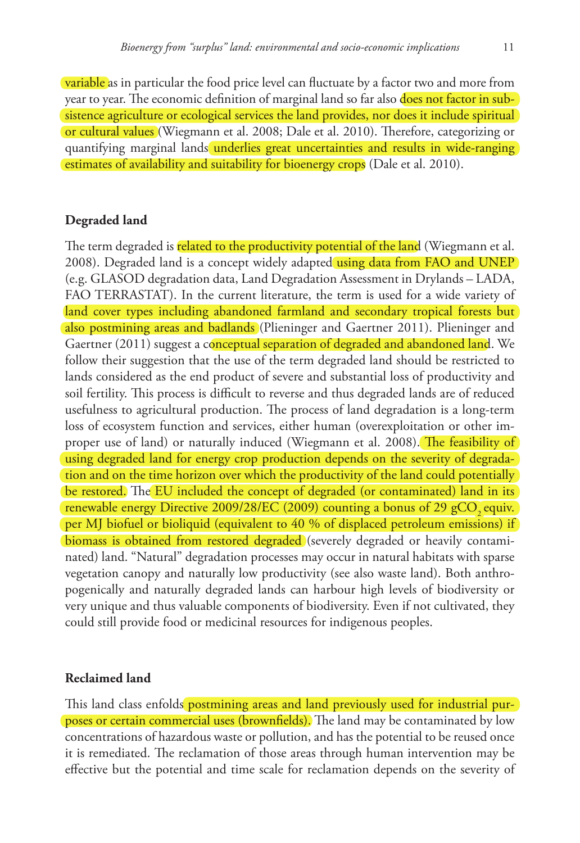**variable** as in particular the food price level can fluctuate by a factor two and more from year to year. The economic definition of marginal land so far also does not factor in subsistence agriculture or ecological services the land provides, nor does it include spiritual or cultural values (Wiegmann et al. 2008; Dale et al. 2010). Therefore, categorizing or quantifying marginal lands underlies great uncertainties and results in wide-ranging estimates of availability and suitability for bioenergy crops (Dale et al. 2010).

# **Degraded land**

The term degraded is related to the productivity potential of the land (Wiegmann et al. 2008). Degraded land is a concept widely adapted using data from FAO and UNEP (e.g. GLASOD degradation data, Land Degradation Assessment in Drylands – LADA, FAO TERRASTAT). In the current literature, the term is used for a wide variety of land cover types including abandoned farmland and secondary tropical forests but also postmining areas and badlands (Plieninger and Gaertner 2011). Plieninger and Gaertner (2011) suggest a conceptual separation of degraded and abandoned land. We follow their suggestion that the use of the term degraded land should be restricted to lands considered as the end product of severe and substantial loss of productivity and soil fertility. This process is difficult to reverse and thus degraded lands are of reduced usefulness to agricultural production. The process of land degradation is a long-term loss of ecosystem function and services, either human (overexploitation or other improper use of land) or naturally induced (Wiegmann et al. 2008). The feasibility of using degraded land for energy crop production depends on the severity of degradation and on the time horizon over which the productivity of the land could potentially be restored. The EU included the concept of degraded (or contaminated) land in its renewable energy Directive 2009/28/EC (2009) counting a bonus of 29 gCO<sub>2</sub> equiv. per MJ biofuel or bioliquid (equivalent to 40 % of displaced petroleum emissions) if biomass is obtained from restored degraded (severely degraded or heavily contaminated) land. "Natural" degradation processes may occur in natural habitats with sparse vegetation canopy and naturally low productivity (see also waste land). Both anthropogenically and naturally degraded lands can harbour high levels of biodiversity or very unique and thus valuable components of biodiversity. Even if not cultivated, they could still provide food or medicinal resources for indigenous peoples.

# **Reclaimed land**

This land class enfolds **postmining areas and land previously used for industrial pur**poses or certain commercial uses (brownfields). The land may be contaminated by low concentrations of hazardous waste or pollution, and has the potential to be reused once it is remediated. The reclamation of those areas through human intervention may be effective but the potential and time scale for reclamation depends on the severity of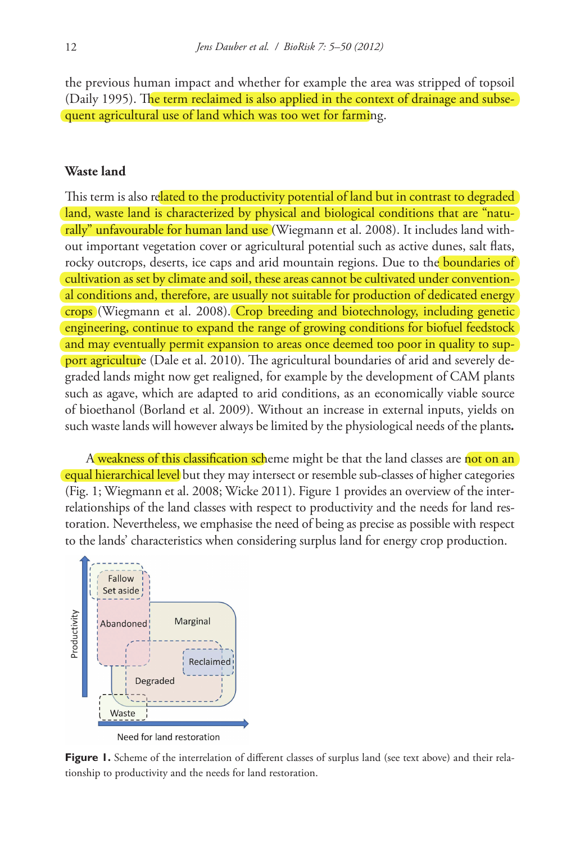the previous human impact and whether for example the area was stripped of topsoil (Daily 1995). The term reclaimed is also applied in the context of drainage and subsequent agricultural use of land which was too wet for farming.

# **Waste land**

This term is also related to the productivity potential of land but in contrast to degraded land, waste land is characterized by physical and biological conditions that are "naturally" unfavourable for human land use (Wiegmann et al. 2008). It includes land without important vegetation cover or agricultural potential such as active dunes, salt flats, rocky outcrops, deserts, ice caps and arid mountain regions. Due to the **boundaries of** cultivation as set by climate and soil, these areas cannot be cultivated under conventional conditions and, therefore, are usually not suitable for production of dedicated energy crops (Wiegmann et al. 2008). Crop breeding and biotechnology, including genetic engineering, continue to expand the range of growing conditions for biofuel feedstock and may eventually permit expansion to areas once deemed too poor in quality to support agriculture (Dale et al. 2010). The agricultural boundaries of arid and severely degraded lands might now get realigned, for example by the development of CAM plants such as agave, which are adapted to arid conditions, as an economically viable source of bioethanol (Borland et al. 2009). Without an increase in external inputs, yields on such waste lands will however always be limited by the physiological needs of the plants*.*

A weakness of this classification scheme might be that the land classes are not on an equal hierarchical level but they may intersect or resemble sub-classes of higher categories (Fig. 1; Wiegmann et al. 2008; Wicke 2011). Figure 1 provides an overview of the interrelationships of the land classes with respect to productivity and the needs for land restoration. Nevertheless, we emphasise the need of being as precise as possible with respect to the lands' characteristics when considering surplus land for energy crop production.



Need for land restoration

Figure 1. Scheme of the interrelation of different classes of surplus land (see text above) and their relationship to productivity and the needs for land restoration.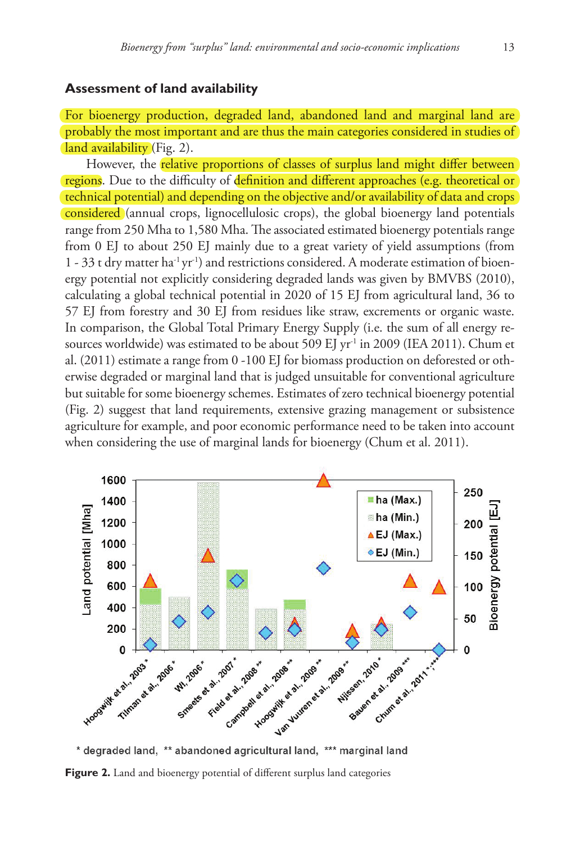# **Assessment of land availability**

For bioenergy production, degraded land, abandoned land and marginal land are probably the most important and are thus the main categories considered in studies of land availability (Fig. 2).

However, the relative proportions of classes of surplus land might differ between regions. Due to the difficulty of definition and different approaches (e.g. theoretical or technical potential) and depending on the objective and/or availability of data and crops considered (annual crops, lignocellulosic crops), the global bioenergy land potentials range from 250 Mha to 1,580 Mha. The associated estimated bioenergy potentials range from 0 EJ to about 250 EJ mainly due to a great variety of yield assumptions (from 1 - 33 t dry matter ha-1 yr-1) and restrictions considered. A moderate estimation of bioenergy potential not explicitly considering degraded lands was given by BMVBS (2010), calculating a global technical potential in 2020 of 15 EJ from agricultural land, 36 to 57 EJ from forestry and 30 EJ from residues like straw, excrements or organic waste. In comparison, the Global Total Primary Energy Supply (i.e. the sum of all energy resources worldwide) was estimated to be about 509 EJ yr<sup>-1</sup> in 2009 (IEA 2011). Chum et al. (2011) estimate a range from 0 -100 EJ for biomass production on deforested or otherwise degraded or marginal land that is judged unsuitable for conventional agriculture but suitable for some bioenergy schemes. Estimates of zero technical bioenergy potential (Fig. 2) suggest that land requirements, extensive grazing management or subsistence agriculture for example, and poor economic performance need to be taken into account when considering the use of marginal lands for bioenergy (Chum et al. 2011).



\* degraded land, \*\* abandoned agricultural land, \*\*\* marginal land **Figure 2.** Land and bioenergy potential of different surplus land categories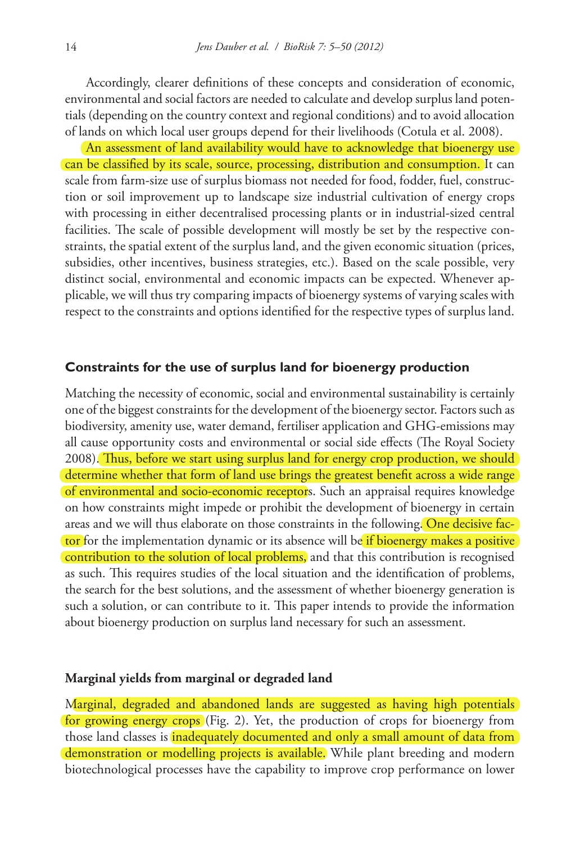Accordingly, clearer definitions of these concepts and consideration of economic, environmental and social factors are needed to calculate and develop surplus land potentials (depending on the country context and regional conditions) and to avoid allocation of lands on which local user groups depend for their livelihoods (Cotula et al. 2008).

An assessment of land availability would have to acknowledge that bioenergy use can be classified by its scale, source, processing, distribution and consumption. It can scale from farm-size use of surplus biomass not needed for food, fodder, fuel, construction or soil improvement up to landscape size industrial cultivation of energy crops with processing in either decentralised processing plants or in industrial-sized central facilities. The scale of possible development will mostly be set by the respective constraints, the spatial extent of the surplus land, and the given economic situation (prices, subsidies, other incentives, business strategies, etc.). Based on the scale possible, very distinct social, environmental and economic impacts can be expected. Whenever applicable, we will thus try comparing impacts of bioenergy systems of varying scales with respect to the constraints and options identified for the respective types of surplus land.

## **Constraints for the use of surplus land for bioenergy production**

Matching the necessity of economic, social and environmental sustainability is certainly one of the biggest constraints for the development of the bioenergy sector. Factors such as biodiversity, amenity use, water demand, fertiliser application and GHG-emissions may all cause opportunity costs and environmental or social side effects (The Royal Society 2008). Thus, before we start using surplus land for energy crop production, we should determine whether that form of land use brings the greatest benefit across a wide range of environmental and socio-economic receptors. Such an appraisal requires knowledge on how constraints might impede or prohibit the development of bioenergy in certain areas and we will thus elaborate on those constraints in the following. One decisive factor for the implementation dynamic or its absence will be if bioenergy makes a positive contribution to the solution of local problems, and that this contribution is recognised as such. This requires studies of the local situation and the identification of problems, the search for the best solutions, and the assessment of whether bioenergy generation is such a solution, or can contribute to it. This paper intends to provide the information about bioenergy production on surplus land necessary for such an assessment.

# **Marginal yields from marginal or degraded land**

Marginal, degraded and abandoned lands are suggested as having high potentials for growing energy crops (Fig. 2). Yet, the production of crops for bioenergy from those land classes is inadequately documented and only a small amount of data from demonstration or modelling projects is available. While plant breeding and modern biotechnological processes have the capability to improve crop performance on lower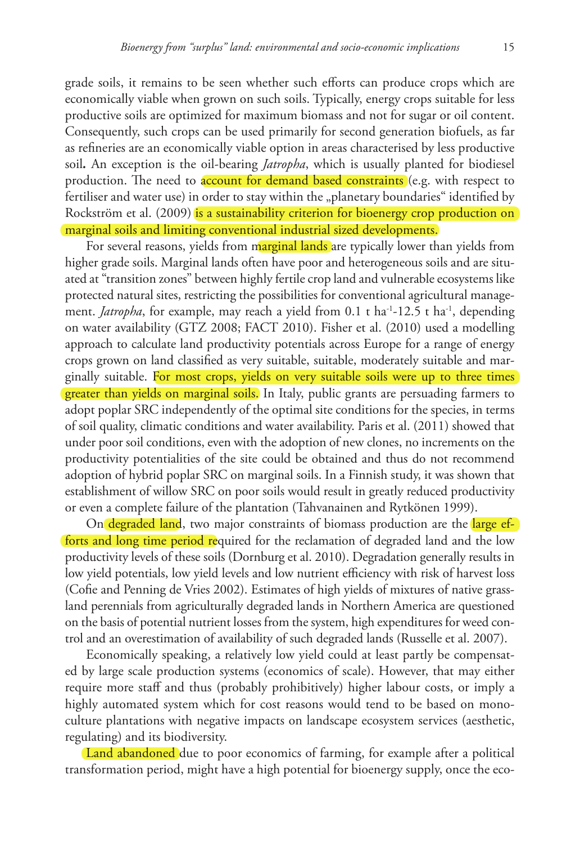grade soils, it remains to be seen whether such efforts can produce crops which are economically viable when grown on such soils. Typically, energy crops suitable for less productive soils are optimized for maximum biomass and not for sugar or oil content. Consequently, such crops can be used primarily for second generation biofuels, as far as refineries are an economically viable option in areas characterised by less productive soil*.* An exception is the oil-bearing *Jatropha*, which is usually planted for biodiesel production. The need to **account for demand based constraints** (e.g. with respect to fertiliser and water use) in order to stay within the "planetary boundaries" identified by Rockström et al. (2009) is a sustainability criterion for bioenergy crop production on marginal soils and limiting conventional industrial sized developments.

For several reasons, yields from marginal lands are typically lower than yields from higher grade soils. Marginal lands often have poor and heterogeneous soils and are situated at "transition zones" between highly fertile crop land and vulnerable ecosystems like protected natural sites, restricting the possibilities for conventional agricultural management. *Jatropha*, for example, may reach a yield from 0.1 t ha<sup>-1</sup>-12.5 t ha<sup>-1</sup>, depending on water availability (GTZ 2008; FACT 2010). Fisher et al. (2010) used a modelling approach to calculate land productivity potentials across Europe for a range of energy crops grown on land classified as very suitable, suitable, moderately suitable and marginally suitable. For most crops, yields on very suitable soils were up to three times greater than yields on marginal soils. In Italy, public grants are persuading farmers to adopt poplar SRC independently of the optimal site conditions for the species, in terms of soil quality, climatic conditions and water availability. Paris et al. (2011) showed that under poor soil conditions, even with the adoption of new clones, no increments on the productivity potentialities of the site could be obtained and thus do not recommend adoption of hybrid poplar SRC on marginal soils. In a Finnish study, it was shown that establishment of willow SRC on poor soils would result in greatly reduced productivity or even a complete failure of the plantation (Tahvanainen and Rytkönen 1999).

On degraded land, two major constraints of biomass production are the large efforts and long time period required for the reclamation of degraded land and the low productivity levels of these soils (Dornburg et al. 2010). Degradation generally results in low yield potentials, low yield levels and low nutrient efficiency with risk of harvest loss (Cofie and Penning de Vries 2002). Estimates of high yields of mixtures of native grassland perennials from agriculturally degraded lands in Northern America are questioned on the basis of potential nutrient losses from the system, high expenditures for weed control and an overestimation of availability of such degraded lands (Russelle et al. 2007).

Economically speaking, a relatively low yield could at least partly be compensated by large scale production systems (economics of scale). However, that may either require more staff and thus (probably prohibitively) higher labour costs, or imply a highly automated system which for cost reasons would tend to be based on monoculture plantations with negative impacts on landscape ecosystem services (aesthetic, regulating) and its biodiversity.

Land abandoned due to poor economics of farming, for example after a political transformation period, might have a high potential for bioenergy supply, once the eco-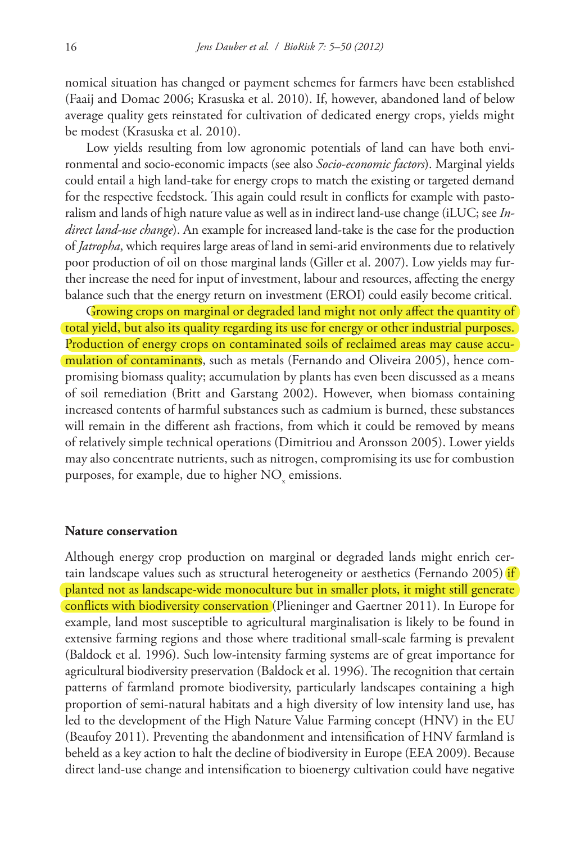nomical situation has changed or payment schemes for farmers have been established (Faaij and Domac 2006; Krasuska et al. 2010). If, however, abandoned land of below average quality gets reinstated for cultivation of dedicated energy crops, yields might be modest (Krasuska et al. 2010).

Low yields resulting from low agronomic potentials of land can have both environmental and socio-economic impacts (see also *Socio-economic factors*). Marginal yields could entail a high land-take for energy crops to match the existing or targeted demand for the respective feedstock. This again could result in conflicts for example with pastoralism and lands of high nature value as well as in indirect land-use change (iLUC; see *Indirect land-use change*). An example for increased land-take is the case for the production of *Jatropha*, which requires large areas of land in semi-arid environments due to relatively poor production of oil on those marginal lands (Giller et al. 2007). Low yields may further increase the need for input of investment, labour and resources, affecting the energy balance such that the energy return on investment (EROI) could easily become critical.

Growing crops on marginal or degraded land might not only affect the quantity of total yield, but also its quality regarding its use for energy or other industrial purposes. Production of energy crops on contaminated soils of reclaimed areas may cause accumulation of contaminants, such as metals (Fernando and Oliveira 2005), hence compromising biomass quality; accumulation by plants has even been discussed as a means of soil remediation (Britt and Garstang 2002). However, when biomass containing increased contents of harmful substances such as cadmium is burned, these substances will remain in the different ash fractions, from which it could be removed by means of relatively simple technical operations (Dimitriou and Aronsson 2005). Lower yields may also concentrate nutrients, such as nitrogen, compromising its use for combustion purposes, for example, due to higher  $\rm NO_{x}$  emissions.

#### **Nature conservation**

Although energy crop production on marginal or degraded lands might enrich certain landscape values such as structural heterogeneity or aesthetics (Fernando 2005)  $\mathbf{if}$ planted not as landscape-wide monoculture but in smaller plots, it might still generate conflicts with biodiversity conservation (Plieninger and Gaertner 2011). In Europe for example, land most susceptible to agricultural marginalisation is likely to be found in extensive farming regions and those where traditional small-scale farming is prevalent (Baldock et al. 1996). Such low-intensity farming systems are of great importance for agricultural biodiversity preservation (Baldock et al. 1996). The recognition that certain patterns of farmland promote biodiversity, particularly landscapes containing a high proportion of semi-natural habitats and a high diversity of low intensity land use, has led to the development of the High Nature Value Farming concept (HNV) in the EU (Beaufoy 2011). Preventing the abandonment and intensification of HNV farmland is beheld as a key action to halt the decline of biodiversity in Europe (EEA 2009). Because direct land-use change and intensification to bioenergy cultivation could have negative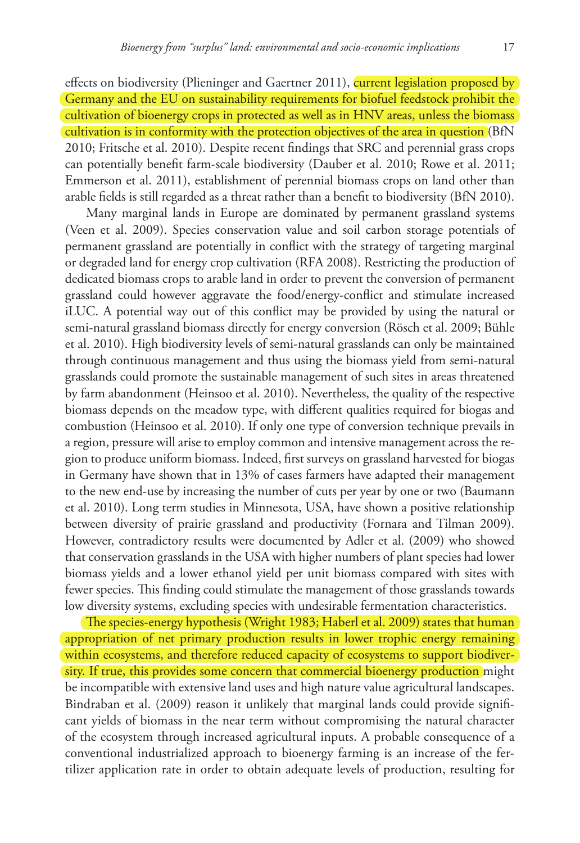effects on biodiversity (Plieninger and Gaertner 2011), current legislation proposed by Germany and the EU on sustainability requirements for biofuel feedstock prohibit the cultivation of bioenergy crops in protected as well as in HNV areas, unless the biomass cultivation is in conformity with the protection objectives of the area in question (BfN 2010; Fritsche et al. 2010). Despite recent findings that SRC and perennial grass crops can potentially benefit farm-scale biodiversity (Dauber et al. 2010; Rowe et al. 2011; Emmerson et al. 2011), establishment of perennial biomass crops on land other than arable fields is still regarded as a threat rather than a benefit to biodiversity (BfN 2010).

Many marginal lands in Europe are dominated by permanent grassland systems (Veen et al. 2009). Species conservation value and soil carbon storage potentials of permanent grassland are potentially in conflict with the strategy of targeting marginal or degraded land for energy crop cultivation (RFA 2008). Restricting the production of dedicated biomass crops to arable land in order to prevent the conversion of permanent grassland could however aggravate the food/energy-conflict and stimulate increased iLUC. A potential way out of this conflict may be provided by using the natural or semi-natural grassland biomass directly for energy conversion (Rösch et al. 2009; Bühle et al. 2010). High biodiversity levels of semi-natural grasslands can only be maintained through continuous management and thus using the biomass yield from semi-natural grasslands could promote the sustainable management of such sites in areas threatened by farm abandonment (Heinsoo et al. 2010). Nevertheless, the quality of the respective biomass depends on the meadow type, with different qualities required for biogas and combustion (Heinsoo et al. 2010). If only one type of conversion technique prevails in a region, pressure will arise to employ common and intensive management across the region to produce uniform biomass. Indeed, first surveys on grassland harvested for biogas in Germany have shown that in 13% of cases farmers have adapted their management to the new end-use by increasing the number of cuts per year by one or two (Baumann et al. 2010). Long term studies in Minnesota, USA, have shown a positive relationship between diversity of prairie grassland and productivity (Fornara and Tilman 2009). However, contradictory results were documented by Adler et al. (2009) who showed that conservation grasslands in the USA with higher numbers of plant species had lower biomass yields and a lower ethanol yield per unit biomass compared with sites with fewer species. This finding could stimulate the management of those grasslands towards low diversity systems, excluding species with undesirable fermentation characteristics.

The species-energy hypothesis (Wright 1983; Haberl et al. 2009) states that human appropriation of net primary production results in lower trophic energy remaining within ecosystems, and therefore reduced capacity of ecosystems to support biodiversity. If true, this provides some concern that commercial bioenergy production might be incompatible with extensive land uses and high nature value agricultural landscapes. Bindraban et al. (2009) reason it unlikely that marginal lands could provide significant yields of biomass in the near term without compromising the natural character of the ecosystem through increased agricultural inputs. A probable consequence of a conventional industrialized approach to bioenergy farming is an increase of the fertilizer application rate in order to obtain adequate levels of production, resulting for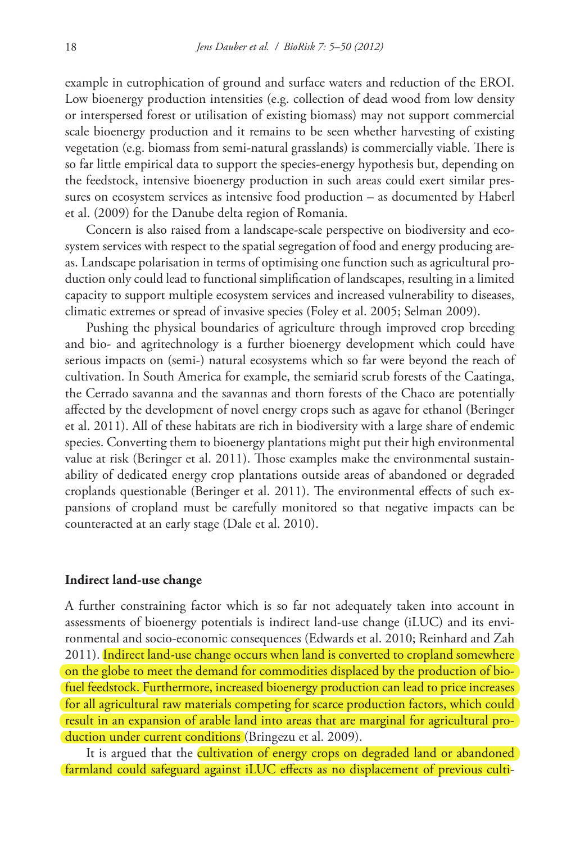example in eutrophication of ground and surface waters and reduction of the EROI. Low bioenergy production intensities (e.g. collection of dead wood from low density or interspersed forest or utilisation of existing biomass) may not support commercial scale bioenergy production and it remains to be seen whether harvesting of existing vegetation (e.g. biomass from semi-natural grasslands) is commercially viable. There is so far little empirical data to support the species-energy hypothesis but, depending on the feedstock, intensive bioenergy production in such areas could exert similar pressures on ecosystem services as intensive food production – as documented by Haberl et al. (2009) for the Danube delta region of Romania.

Concern is also raised from a landscape-scale perspective on biodiversity and ecosystem services with respect to the spatial segregation of food and energy producing areas. Landscape polarisation in terms of optimising one function such as agricultural production only could lead to functional simplification of landscapes, resulting in a limited capacity to support multiple ecosystem services and increased vulnerability to diseases, climatic extremes or spread of invasive species (Foley et al. 2005; Selman 2009).

Pushing the physical boundaries of agriculture through improved crop breeding and bio- and agritechnology is a further bioenergy development which could have serious impacts on (semi-) natural ecosystems which so far were beyond the reach of cultivation. In South America for example, the semiarid scrub forests of the Caatinga, the Cerrado savanna and the savannas and thorn forests of the Chaco are potentially affected by the development of novel energy crops such as agave for ethanol (Beringer et al. 2011). All of these habitats are rich in biodiversity with a large share of endemic species. Converting them to bioenergy plantations might put their high environmental value at risk (Beringer et al. 2011). Those examples make the environmental sustainability of dedicated energy crop plantations outside areas of abandoned or degraded croplands questionable (Beringer et al. 2011). The environmental effects of such expansions of cropland must be carefully monitored so that negative impacts can be counteracted at an early stage (Dale et al. 2010).

# **Indirect land-use change**

A further constraining factor which is so far not adequately taken into account in assessments of bioenergy potentials is indirect land-use change (iLUC) and its environmental and socio-economic consequences (Edwards et al. 2010; Reinhard and Zah 2011). Indirect land-use change occurs when land is converted to cropland somewhere on the globe to meet the demand for commodities displaced by the production of biofuel feedstock. Furthermore, increased bioenergy production can lead to price increases for all agricultural raw materials competing for scarce production factors, which could result in an expansion of arable land into areas that are marginal for agricultural production under current conditions (Bringezu et al. 2009).

It is argued that the cultivation of energy crops on degraded land or abandoned farmland could safeguard against iLUC effects as no displacement of previous culti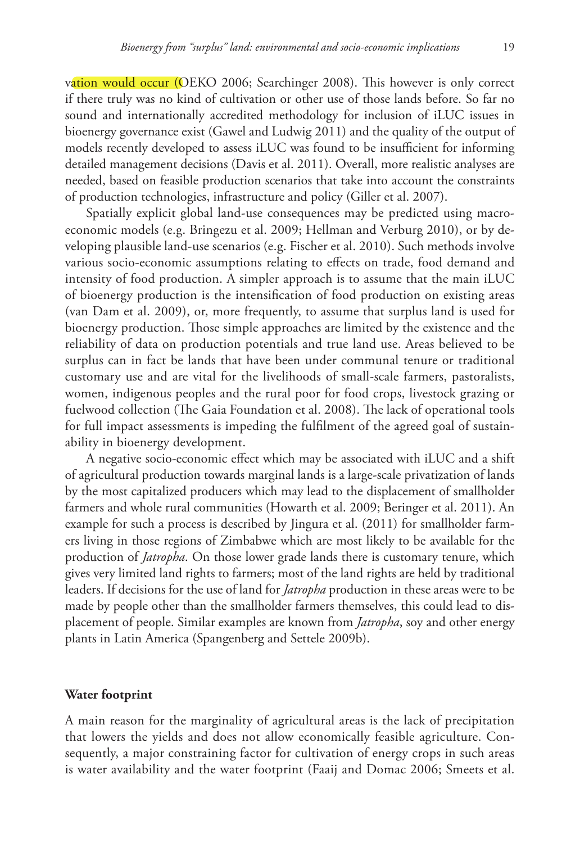vation would occur (OEKO 2006; Searchinger 2008). This however is only correct if there truly was no kind of cultivation or other use of those lands before. So far no sound and internationally accredited methodology for inclusion of iLUC issues in bioenergy governance exist (Gawel and Ludwig 2011) and the quality of the output of models recently developed to assess iLUC was found to be insufficient for informing detailed management decisions (Davis et al. 2011). Overall, more realistic analyses are needed, based on feasible production scenarios that take into account the constraints of production technologies, infrastructure and policy (Giller et al. 2007).

Spatially explicit global land-use consequences may be predicted using macroeconomic models (e.g. Bringezu et al. 2009; Hellman and Verburg 2010), or by developing plausible land-use scenarios (e.g. Fischer et al. 2010). Such methods involve various socio-economic assumptions relating to effects on trade, food demand and intensity of food production. A simpler approach is to assume that the main iLUC of bioenergy production is the intensification of food production on existing areas (van Dam et al. 2009), or, more frequently, to assume that surplus land is used for bioenergy production. Those simple approaches are limited by the existence and the reliability of data on production potentials and true land use. Areas believed to be surplus can in fact be lands that have been under communal tenure or traditional customary use and are vital for the livelihoods of small-scale farmers, pastoralists, women, indigenous peoples and the rural poor for food crops, livestock grazing or fuelwood collection (The Gaia Foundation et al. 2008). The lack of operational tools for full impact assessments is impeding the fulfilment of the agreed goal of sustainability in bioenergy development.

A negative socio-economic effect which may be associated with iLUC and a shift of agricultural production towards marginal lands is a large-scale privatization of lands by the most capitalized producers which may lead to the displacement of smallholder farmers and whole rural communities (Howarth et al. 2009; Beringer et al. 2011). An example for such a process is described by Jingura et al. (2011) for smallholder farmers living in those regions of Zimbabwe which are most likely to be available for the production of *Jatropha*. On those lower grade lands there is customary tenure, which gives very limited land rights to farmers; most of the land rights are held by traditional leaders. If decisions for the use of land for *Jatropha* production in these areas were to be made by people other than the smallholder farmers themselves, this could lead to displacement of people. Similar examples are known from *Jatropha*, soy and other energy plants in Latin America (Spangenberg and Settele 2009b).

# **Water footprint**

A main reason for the marginality of agricultural areas is the lack of precipitation that lowers the yields and does not allow economically feasible agriculture. Consequently, a major constraining factor for cultivation of energy crops in such areas is water availability and the water footprint (Faaij and Domac 2006; Smeets et al.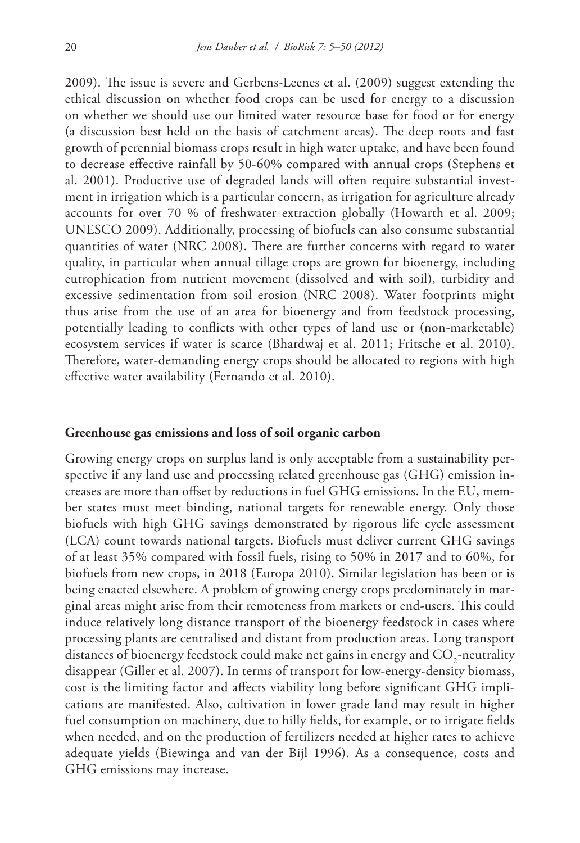2009). The issue is severe and Gerbens-Leenes et al. (2009) suggest extending the ethical discussion on whether food crops can be used for energy to a discussion on whether we should use our limited water resource base for food or for energy (a discussion best held on the basis of catchment areas). The deep roots and fast growth of perennial biomass crops result in high water uptake, and have been found to decrease effective rainfall by 50-60% compared with annual crops (Stephens et al. 2001). Productive use of degraded lands will often require substantial investment in irrigation which is a particular concern, as irrigation for agriculture already accounts for over 70 % of freshwater extraction globally (Howarth et al. 2009; UNESCO 2009). Additionally, processing of biofuels can also consume substantial quantities of water (NRC 2008). There are further concerns with regard to water quality, in particular when annual tillage crops are grown for bioenergy, including eutrophication from nutrient movement (dissolved and with soil), turbidity and excessive sedimentation from soil erosion (NRC 2008). Water footprints might thus arise from the use of an area for bioenergy and from feedstock processing, potentially leading to conflicts with other types of land use or (non-marketable) ecosystem services if water is scarce (Bhardwaj et al. 2011; Fritsche et al. 2010). Therefore, water-demanding energy crops should be allocated to regions with high effective water availability (Fernando et al. 2010).

# **Greenhouse gas emissions and loss of soil organic carbon**

Growing energy crops on surplus land is only acceptable from a sustainability perspective if any land use and processing related greenhouse gas (GHG) emission increases are more than offset by reductions in fuel GHG emissions. In the EU, member states must meet binding, national targets for renewable energy. Only those biofuels with high GHG savings demonstrated by rigorous life cycle assessment (LCA) count towards national targets. Biofuels must deliver current GHG savings of at least 35% compared with fossil fuels, rising to 50% in 2017 and to 60%, for biofuels from new crops, in 2018 (Europa 2010). Similar legislation has been or is being enacted elsewhere. A problem of growing energy crops predominately in marginal areas might arise from their remoteness from markets or end-users. This could induce relatively long distance transport of the bioenergy feedstock in cases where processing plants are centralised and distant from production areas. Long transport distances of bioenergy feedstock could make net gains in energy and  $\mathrm{CO}_2$ -neutrality disappear (Giller et al. 2007). In terms of transport for low-energy-density biomass, cost is the limiting factor and affects viability long before significant GHG implications are manifested. Also, cultivation in lower grade land may result in higher fuel consumption on machinery, due to hilly fields, for example, or to irrigate fields when needed, and on the production of fertilizers needed at higher rates to achieve adequate yields (Biewinga and van der Bijl 1996). As a consequence, costs and GHG emissions may increase.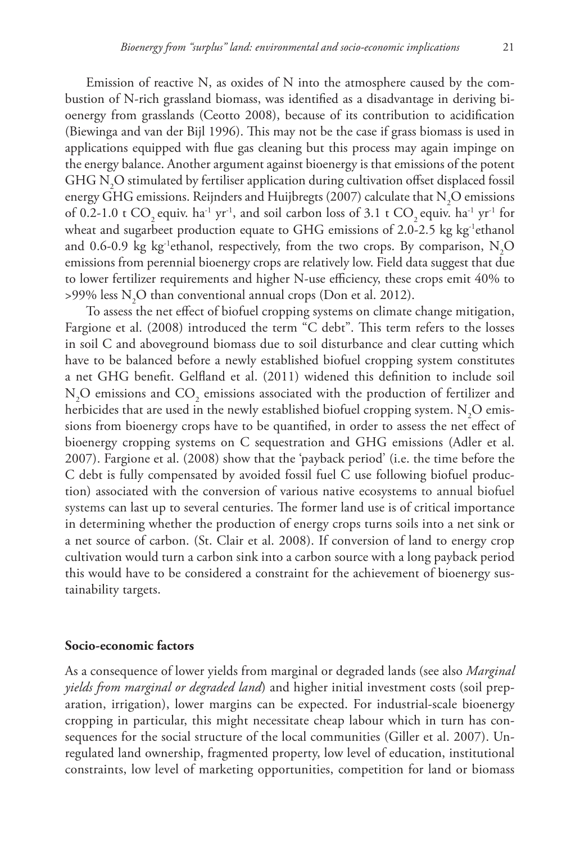Emission of reactive N, as oxides of N into the atmosphere caused by the combustion of N-rich grassland biomass, was identified as a disadvantage in deriving bioenergy from grasslands (Ceotto 2008), because of its contribution to acidification (Biewinga and van der Bijl 1996). This may not be the case if grass biomass is used in applications equipped with flue gas cleaning but this process may again impinge on the energy balance. Another argument against bioenergy is that emissions of the potent  $GHG N<sub>2</sub>O$  stimulated by fertiliser application during cultivation offset displaced fossil energy GHG emissions. Reijnders and Huijbregts (2007) calculate that  $N_{2}O$  emissions of 0.2-1.0 t CO<sub>2</sub> equiv. ha<sup>-1</sup> yr<sup>-1</sup>, and soil carbon loss of 3.1 t CO<sub>2</sub> equiv. ha<sup>-1</sup> yr<sup>-1</sup> for wheat and sugarbeet production equate to GHG emissions of 2.0-2.5 kg kg<sup>-1</sup>ethanol and 0.6-0.9 kg kg<sup>-1</sup>ethanol, respectively, from the two crops. By comparison,  $N_2O$ emissions from perennial bioenergy crops are relatively low. Field data suggest that due to lower fertilizer requirements and higher N-use efficiency, these crops emit 40% to >99% less  $N_2O$  than conventional annual crops (Don et al. 2012).

To assess the net effect of biofuel cropping systems on climate change mitigation, Fargione et al. (2008) introduced the term "C debt". This term refers to the losses in soil C and aboveground biomass due to soil disturbance and clear cutting which have to be balanced before a newly established biofuel cropping system constitutes a net GHG benefit. Gelfland et al. (2011) widened this definition to include soil  $\rm N_2O$  emissions and  $\rm CO_2$  emissions associated with the production of fertilizer and herbicides that are used in the newly established biofuel cropping system.  $\mathrm{N}_2\mathrm{O}$  emissions from bioenergy crops have to be quantified, in order to assess the net effect of bioenergy cropping systems on C sequestration and GHG emissions (Adler et al. 2007). Fargione et al. (2008) show that the 'payback period' (i.e. the time before the C debt is fully compensated by avoided fossil fuel C use following biofuel production) associated with the conversion of various native ecosystems to annual biofuel systems can last up to several centuries. The former land use is of critical importance in determining whether the production of energy crops turns soils into a net sink or a net source of carbon. (St. Clair et al. 2008). If conversion of land to energy crop cultivation would turn a carbon sink into a carbon source with a long payback period this would have to be considered a constraint for the achievement of bioenergy sustainability targets.

#### **Socio-economic factors**

As a consequence of lower yields from marginal or degraded lands (see also *Marginal yields from marginal or degraded land*) and higher initial investment costs (soil preparation, irrigation), lower margins can be expected. For industrial-scale bioenergy cropping in particular, this might necessitate cheap labour which in turn has consequences for the social structure of the local communities (Giller et al. 2007). Unregulated land ownership, fragmented property, low level of education, institutional constraints, low level of marketing opportunities, competition for land or biomass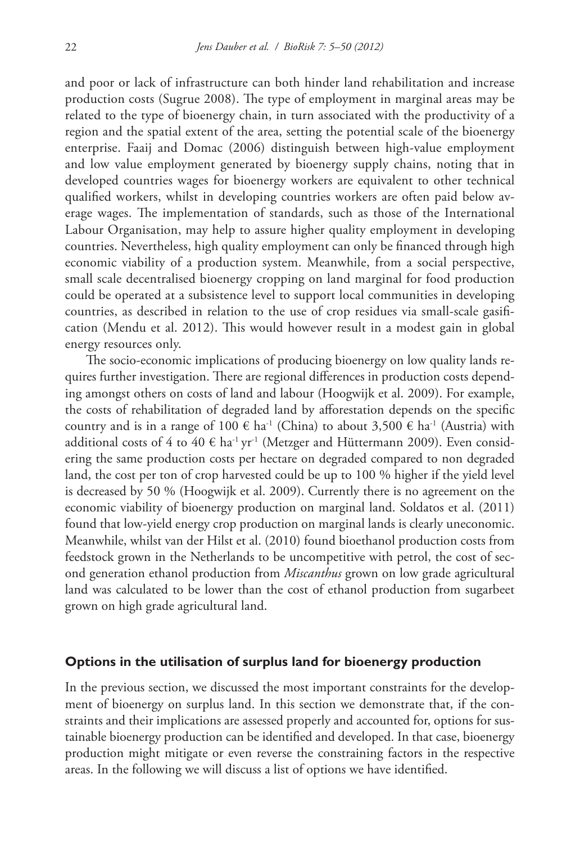and poor or lack of infrastructure can both hinder land rehabilitation and increase production costs (Sugrue 2008). The type of employment in marginal areas may be related to the type of bioenergy chain, in turn associated with the productivity of a region and the spatial extent of the area, setting the potential scale of the bioenergy enterprise. Faaij and Domac (2006) distinguish between high-value employment and low value employment generated by bioenergy supply chains, noting that in developed countries wages for bioenergy workers are equivalent to other technical qualified workers, whilst in developing countries workers are often paid below average wages. The implementation of standards, such as those of the International Labour Organisation, may help to assure higher quality employment in developing countries. Nevertheless, high quality employment can only be financed through high economic viability of a production system. Meanwhile, from a social perspective, small scale decentralised bioenergy cropping on land marginal for food production could be operated at a subsistence level to support local communities in developing countries, as described in relation to the use of crop residues via small-scale gasification (Mendu et al. 2012). This would however result in a modest gain in global energy resources only.

The socio-economic implications of producing bioenergy on low quality lands requires further investigation. There are regional differences in production costs depending amongst others on costs of land and labour (Hoogwijk et al. 2009). For example, the costs of rehabilitation of degraded land by afforestation depends on the specific country and is in a range of 100  $\in$  ha<sup>-1</sup> (China) to about 3,500  $\in$  ha<sup>-1</sup> (Austria) with additional costs of 4 to 40  $\epsilon$  ha<sup>-1</sup> yr<sup>-1</sup> (Metzger and Hüttermann 2009). Even considering the same production costs per hectare on degraded compared to non degraded land, the cost per ton of crop harvested could be up to 100 % higher if the yield level is decreased by 50 % (Hoogwijk et al. 2009). Currently there is no agreement on the economic viability of bioenergy production on marginal land. Soldatos et al. (2011) found that low-yield energy crop production on marginal lands is clearly uneconomic. Meanwhile, whilst van der Hilst et al. (2010) found bioethanol production costs from feedstock grown in the Netherlands to be uncompetitive with petrol, the cost of second generation ethanol production from *Miscanthus* grown on low grade agricultural land was calculated to be lower than the cost of ethanol production from sugarbeet grown on high grade agricultural land.

# **Options in the utilisation of surplus land for bioenergy production**

In the previous section, we discussed the most important constraints for the development of bioenergy on surplus land. In this section we demonstrate that, if the constraints and their implications are assessed properly and accounted for, options for sustainable bioenergy production can be identified and developed. In that case, bioenergy production might mitigate or even reverse the constraining factors in the respective areas. In the following we will discuss a list of options we have identified.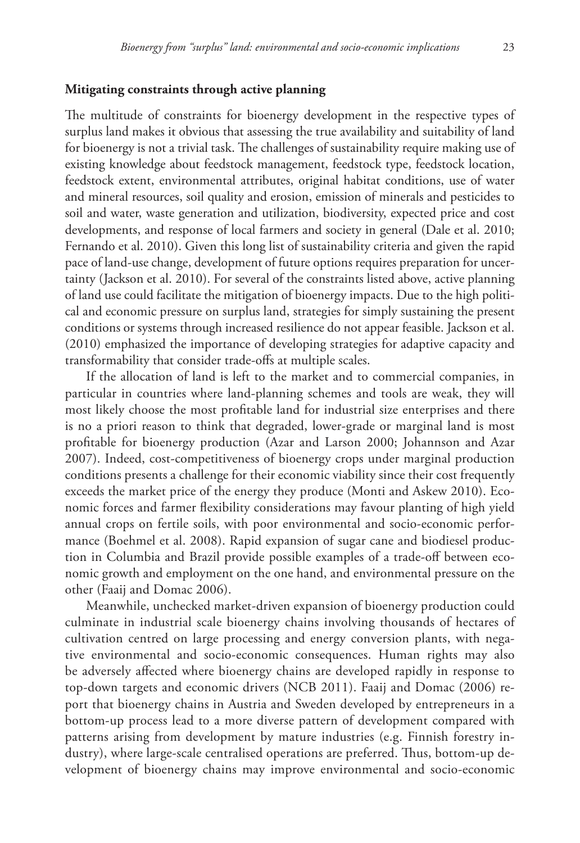# **Mitigating constraints through active planning**

The multitude of constraints for bioenergy development in the respective types of surplus land makes it obvious that assessing the true availability and suitability of land for bioenergy is not a trivial task. The challenges of sustainability require making use of existing knowledge about feedstock management, feedstock type, feedstock location, feedstock extent, environmental attributes, original habitat conditions, use of water and mineral resources, soil quality and erosion, emission of minerals and pesticides to soil and water, waste generation and utilization, biodiversity, expected price and cost developments, and response of local farmers and society in general (Dale et al. 2010; Fernando et al. 2010). Given this long list of sustainability criteria and given the rapid pace of land-use change, development of future options requires preparation for uncertainty (Jackson et al. 2010). For several of the constraints listed above, active planning of land use could facilitate the mitigation of bioenergy impacts. Due to the high political and economic pressure on surplus land, strategies for simply sustaining the present conditions or systems through increased resilience do not appear feasible. Jackson et al. (2010) emphasized the importance of developing strategies for adaptive capacity and transformability that consider trade-offs at multiple scales.

If the allocation of land is left to the market and to commercial companies, in particular in countries where land-planning schemes and tools are weak, they will most likely choose the most profitable land for industrial size enterprises and there is no a priori reason to think that degraded, lower-grade or marginal land is most profitable for bioenergy production (Azar and Larson 2000; Johannson and Azar 2007). Indeed, cost-competitiveness of bioenergy crops under marginal production conditions presents a challenge for their economic viability since their cost frequently exceeds the market price of the energy they produce (Monti and Askew 2010). Economic forces and farmer flexibility considerations may favour planting of high yield annual crops on fertile soils, with poor environmental and socio-economic performance (Boehmel et al. 2008). Rapid expansion of sugar cane and biodiesel production in Columbia and Brazil provide possible examples of a trade-off between economic growth and employment on the one hand, and environmental pressure on the other (Faaij and Domac 2006).

Meanwhile, unchecked market-driven expansion of bioenergy production could culminate in industrial scale bioenergy chains involving thousands of hectares of cultivation centred on large processing and energy conversion plants, with negative environmental and socio-economic consequences. Human rights may also be adversely affected where bioenergy chains are developed rapidly in response to top-down targets and economic drivers (NCB 2011). Faaij and Domac (2006) report that bioenergy chains in Austria and Sweden developed by entrepreneurs in a bottom-up process lead to a more diverse pattern of development compared with patterns arising from development by mature industries (e.g. Finnish forestry industry), where large-scale centralised operations are preferred. Thus, bottom-up development of bioenergy chains may improve environmental and socio-economic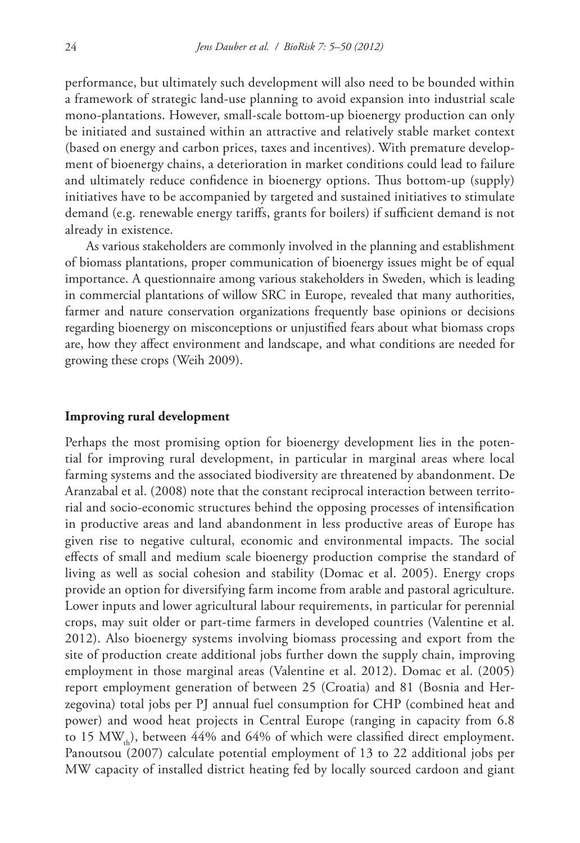performance, but ultimately such development will also need to be bounded within a framework of strategic land-use planning to avoid expansion into industrial scale mono-plantations. However, small-scale bottom-up bioenergy production can only be initiated and sustained within an attractive and relatively stable market context (based on energy and carbon prices, taxes and incentives). With premature development of bioenergy chains, a deterioration in market conditions could lead to failure and ultimately reduce confidence in bioenergy options. Thus bottom-up (supply) initiatives have to be accompanied by targeted and sustained initiatives to stimulate demand (e.g. renewable energy tariffs, grants for boilers) if sufficient demand is not already in existence.

As various stakeholders are commonly involved in the planning and establishment of biomass plantations, proper communication of bioenergy issues might be of equal importance. A questionnaire among various stakeholders in Sweden, which is leading in commercial plantations of willow SRC in Europe, revealed that many authorities, farmer and nature conservation organizations frequently base opinions or decisions regarding bioenergy on misconceptions or unjustified fears about what biomass crops are, how they affect environment and landscape, and what conditions are needed for growing these crops (Weih 2009).

#### **Improving rural development**

Perhaps the most promising option for bioenergy development lies in the potential for improving rural development, in particular in marginal areas where local farming systems and the associated biodiversity are threatened by abandonment. De Aranzabal et al. (2008) note that the constant reciprocal interaction between territorial and socio-economic structures behind the opposing processes of intensification in productive areas and land abandonment in less productive areas of Europe has given rise to negative cultural, economic and environmental impacts. The social effects of small and medium scale bioenergy production comprise the standard of living as well as social cohesion and stability (Domac et al. 2005). Energy crops provide an option for diversifying farm income from arable and pastoral agriculture. Lower inputs and lower agricultural labour requirements, in particular for perennial crops, may suit older or part-time farmers in developed countries (Valentine et al. 2012). Also bioenergy systems involving biomass processing and export from the site of production create additional jobs further down the supply chain, improving employment in those marginal areas (Valentine et al. 2012). Domac et al. (2005) report employment generation of between 25 (Croatia) and 81 (Bosnia and Herzegovina) total jobs per PJ annual fuel consumption for CHP (combined heat and power) and wood heat projects in Central Europe (ranging in capacity from 6.8 to 15 MW<sub>th</sub>), between 44% and 64% of which were classified direct employment. Panoutsou (2007) calculate potential employment of 13 to 22 additional jobs per MW capacity of installed district heating fed by locally sourced cardoon and giant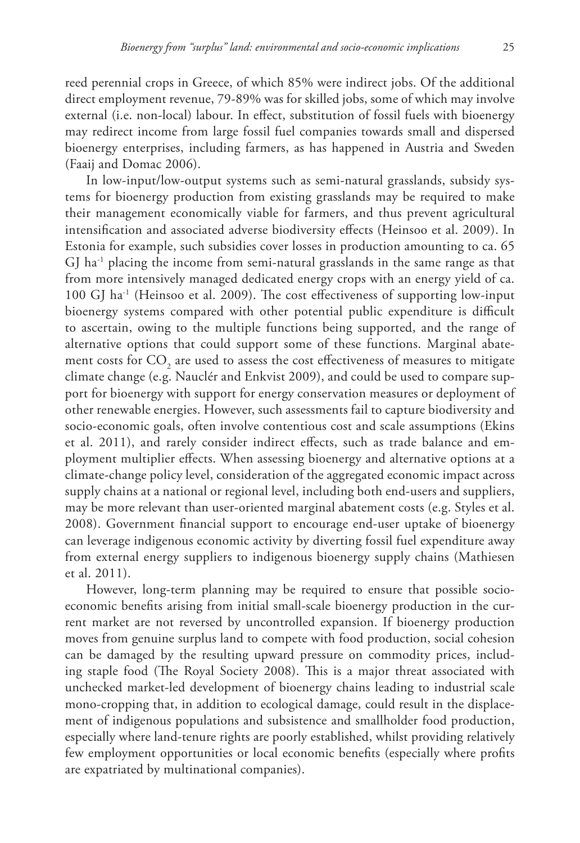reed perennial crops in Greece, of which 85% were indirect jobs. Of the additional direct employment revenue, 79-89% was for skilled jobs, some of which may involve external (i.e. non-local) labour. In effect, substitution of fossil fuels with bioenergy may redirect income from large fossil fuel companies towards small and dispersed bioenergy enterprises, including farmers, as has happened in Austria and Sweden (Faaij and Domac 2006).

In low-input/low-output systems such as semi-natural grasslands, subsidy systems for bioenergy production from existing grasslands may be required to make their management economically viable for farmers, and thus prevent agricultural intensification and associated adverse biodiversity effects (Heinsoo et al. 2009). In Estonia for example, such subsidies cover losses in production amounting to ca. 65 GJ ha-1 placing the income from semi-natural grasslands in the same range as that from more intensively managed dedicated energy crops with an energy yield of ca. 100 GJ ha-1 (Heinsoo et al. 2009). The cost effectiveness of supporting low-input bioenergy systems compared with other potential public expenditure is difficult to ascertain, owing to the multiple functions being supported, and the range of alternative options that could support some of these functions. Marginal abatement costs for  $\mathrm{CO}_2$  are used to assess the cost effectiveness of measures to mitigate climate change (e.g. Nauclér and Enkvist 2009), and could be used to compare support for bioenergy with support for energy conservation measures or deployment of other renewable energies. However, such assessments fail to capture biodiversity and socio-economic goals, often involve contentious cost and scale assumptions (Ekins et al. 2011), and rarely consider indirect effects, such as trade balance and employment multiplier effects. When assessing bioenergy and alternative options at a climate-change policy level, consideration of the aggregated economic impact across supply chains at a national or regional level, including both end-users and suppliers, may be more relevant than user-oriented marginal abatement costs (e.g. Styles et al. 2008). Government financial support to encourage end-user uptake of bioenergy can leverage indigenous economic activity by diverting fossil fuel expenditure away from external energy suppliers to indigenous bioenergy supply chains (Mathiesen et al. 2011).

However, long-term planning may be required to ensure that possible socioeconomic benefits arising from initial small-scale bioenergy production in the current market are not reversed by uncontrolled expansion. If bioenergy production moves from genuine surplus land to compete with food production, social cohesion can be damaged by the resulting upward pressure on commodity prices, including staple food (The Royal Society 2008). This is a major threat associated with unchecked market-led development of bioenergy chains leading to industrial scale mono-cropping that, in addition to ecological damage, could result in the displacement of indigenous populations and subsistence and smallholder food production, especially where land-tenure rights are poorly established, whilst providing relatively few employment opportunities or local economic benefits (especially where profits are expatriated by multinational companies).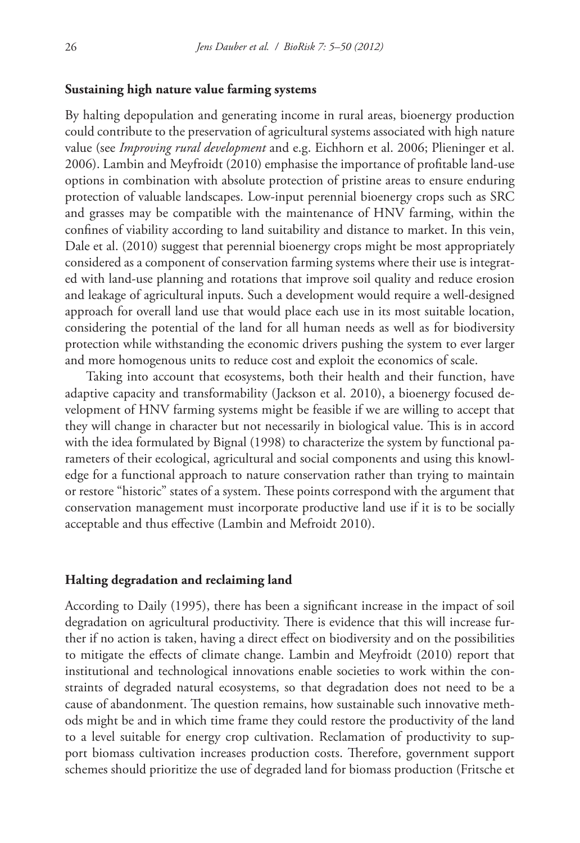# **Sustaining high nature value farming systems**

By halting depopulation and generating income in rural areas, bioenergy production could contribute to the preservation of agricultural systems associated with high nature value (see *Improving rural development* and e.g. Eichhorn et al. 2006; Plieninger et al. 2006). Lambin and Meyfroidt (2010) emphasise the importance of profitable land-use options in combination with absolute protection of pristine areas to ensure enduring protection of valuable landscapes. Low-input perennial bioenergy crops such as SRC and grasses may be compatible with the maintenance of HNV farming, within the confines of viability according to land suitability and distance to market. In this vein, Dale et al. (2010) suggest that perennial bioenergy crops might be most appropriately considered as a component of conservation farming systems where their use is integrated with land-use planning and rotations that improve soil quality and reduce erosion and leakage of agricultural inputs. Such a development would require a well-designed approach for overall land use that would place each use in its most suitable location, considering the potential of the land for all human needs as well as for biodiversity protection while withstanding the economic drivers pushing the system to ever larger and more homogenous units to reduce cost and exploit the economics of scale.

Taking into account that ecosystems, both their health and their function, have adaptive capacity and transformability (Jackson et al. 2010), a bioenergy focused development of HNV farming systems might be feasible if we are willing to accept that they will change in character but not necessarily in biological value. This is in accord with the idea formulated by Bignal (1998) to characterize the system by functional parameters of their ecological, agricultural and social components and using this knowledge for a functional approach to nature conservation rather than trying to maintain or restore "historic" states of a system. These points correspond with the argument that conservation management must incorporate productive land use if it is to be socially acceptable and thus effective (Lambin and Mefroidt 2010).

# **Halting degradation and reclaiming land**

According to Daily (1995), there has been a significant increase in the impact of soil degradation on agricultural productivity. There is evidence that this will increase further if no action is taken, having a direct effect on biodiversity and on the possibilities to mitigate the effects of climate change. Lambin and Meyfroidt (2010) report that institutional and technological innovations enable societies to work within the constraints of degraded natural ecosystems, so that degradation does not need to be a cause of abandonment. The question remains, how sustainable such innovative methods might be and in which time frame they could restore the productivity of the land to a level suitable for energy crop cultivation. Reclamation of productivity to support biomass cultivation increases production costs. Therefore, government support schemes should prioritize the use of degraded land for biomass production (Fritsche et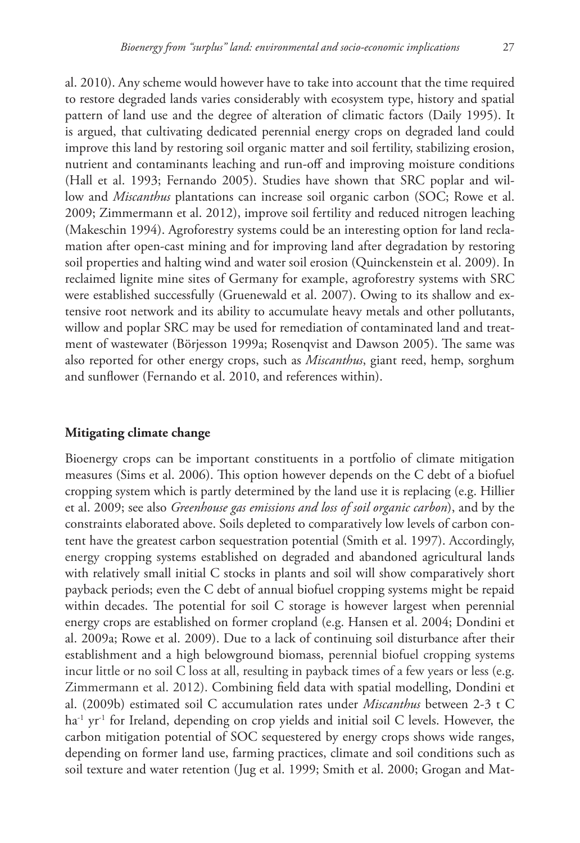al. 2010). Any scheme would however have to take into account that the time required to restore degraded lands varies considerably with ecosystem type, history and spatial pattern of land use and the degree of alteration of climatic factors (Daily 1995). It is argued, that cultivating dedicated perennial energy crops on degraded land could improve this land by restoring soil organic matter and soil fertility, stabilizing erosion, nutrient and contaminants leaching and run-off and improving moisture conditions (Hall et al. 1993; Fernando 2005). Studies have shown that SRC poplar and willow and *Miscanthus* plantations can increase soil organic carbon (SOC; Rowe et al. 2009; Zimmermann et al. 2012), improve soil fertility and reduced nitrogen leaching (Makeschin 1994). Agroforestry systems could be an interesting option for land reclamation after open-cast mining and for improving land after degradation by restoring soil properties and halting wind and water soil erosion (Quinckenstein et al. 2009). In reclaimed lignite mine sites of Germany for example, agroforestry systems with SRC were established successfully (Gruenewald et al. 2007). Owing to its shallow and extensive root network and its ability to accumulate heavy metals and other pollutants, willow and poplar SRC may be used for remediation of contaminated land and treatment of wastewater (Börjesson 1999a; Rosenqvist and Dawson 2005). The same was also reported for other energy crops, such as *Miscanthus*, giant reed, hemp, sorghum and sunflower (Fernando et al. 2010, and references within).

# **Mitigating climate change**

Bioenergy crops can be important constituents in a portfolio of climate mitigation measures (Sims et al. 2006). This option however depends on the C debt of a biofuel cropping system which is partly determined by the land use it is replacing (e.g. Hillier et al. 2009; see also *Greenhouse gas emissions and loss of soil organic carbon*), and by the constraints elaborated above. Soils depleted to comparatively low levels of carbon content have the greatest carbon sequestration potential (Smith et al. 1997). Accordingly, energy cropping systems established on degraded and abandoned agricultural lands with relatively small initial C stocks in plants and soil will show comparatively short payback periods; even the C debt of annual biofuel cropping systems might be repaid within decades. The potential for soil C storage is however largest when perennial energy crops are established on former cropland (e.g. Hansen et al. 2004; Dondini et al. 2009a; Rowe et al. 2009). Due to a lack of continuing soil disturbance after their establishment and a high belowground biomass, perennial biofuel cropping systems incur little or no soil C loss at all, resulting in payback times of a few years or less (e.g. Zimmermann et al. 2012). Combining field data with spatial modelling, Dondini et al. (2009b) estimated soil C accumulation rates under *Miscanthus* between 2-3 t C ha<sup>-1</sup> yr<sup>-1</sup> for Ireland, depending on crop yields and initial soil C levels. However, the carbon mitigation potential of SOC sequestered by energy crops shows wide ranges, depending on former land use, farming practices, climate and soil conditions such as soil texture and water retention (Jug et al. 1999; Smith et al. 2000; Grogan and Mat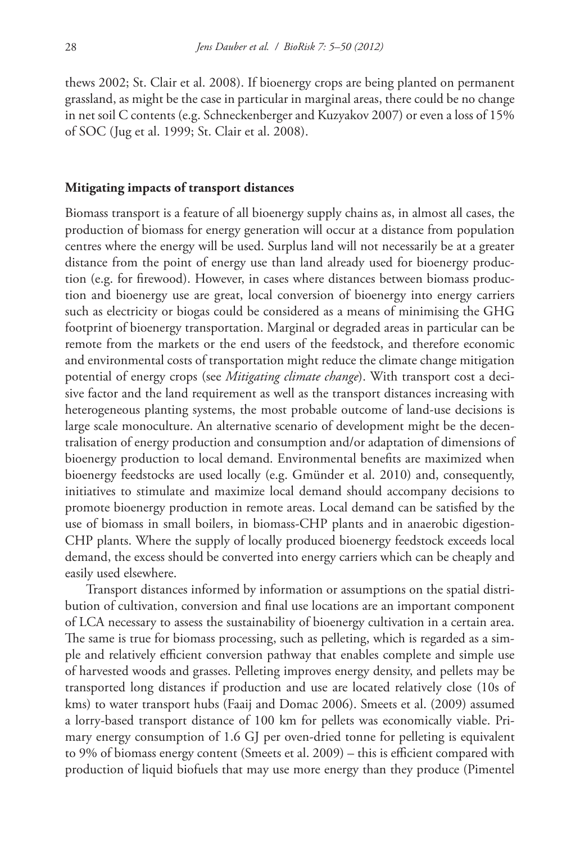thews 2002; St. Clair et al. 2008). If bioenergy crops are being planted on permanent grassland, as might be the case in particular in marginal areas, there could be no change in net soil C contents (e.g. Schneckenberger and Kuzyakov 2007) or even a loss of 15% of SOC (Jug et al. 1999; St. Clair et al. 2008).

## **Mitigating impacts of transport distances**

Biomass transport is a feature of all bioenergy supply chains as, in almost all cases, the production of biomass for energy generation will occur at a distance from population centres where the energy will be used. Surplus land will not necessarily be at a greater distance from the point of energy use than land already used for bioenergy production (e.g. for firewood). However, in cases where distances between biomass production and bioenergy use are great, local conversion of bioenergy into energy carriers such as electricity or biogas could be considered as a means of minimising the GHG footprint of bioenergy transportation. Marginal or degraded areas in particular can be remote from the markets or the end users of the feedstock, and therefore economic and environmental costs of transportation might reduce the climate change mitigation potential of energy crops (see *Mitigating climate change*). With transport cost a decisive factor and the land requirement as well as the transport distances increasing with heterogeneous planting systems, the most probable outcome of land-use decisions is large scale monoculture. An alternative scenario of development might be the decentralisation of energy production and consumption and/or adaptation of dimensions of bioenergy production to local demand. Environmental benefits are maximized when bioenergy feedstocks are used locally (e.g. Gmünder et al. 2010) and, consequently, initiatives to stimulate and maximize local demand should accompany decisions to promote bioenergy production in remote areas. Local demand can be satisfied by the use of biomass in small boilers, in biomass-CHP plants and in anaerobic digestion-CHP plants. Where the supply of locally produced bioenergy feedstock exceeds local demand, the excess should be converted into energy carriers which can be cheaply and easily used elsewhere.

Transport distances informed by information or assumptions on the spatial distribution of cultivation, conversion and final use locations are an important component of LCA necessary to assess the sustainability of bioenergy cultivation in a certain area. The same is true for biomass processing, such as pelleting, which is regarded as a simple and relatively efficient conversion pathway that enables complete and simple use of harvested woods and grasses. Pelleting improves energy density, and pellets may be transported long distances if production and use are located relatively close (10s of kms) to water transport hubs (Faaij and Domac 2006). Smeets et al. (2009) assumed a lorry-based transport distance of 100 km for pellets was economically viable. Primary energy consumption of 1.6 GJ per oven-dried tonne for pelleting is equivalent to 9% of biomass energy content (Smeets et al. 2009) – this is efficient compared with production of liquid biofuels that may use more energy than they produce (Pimentel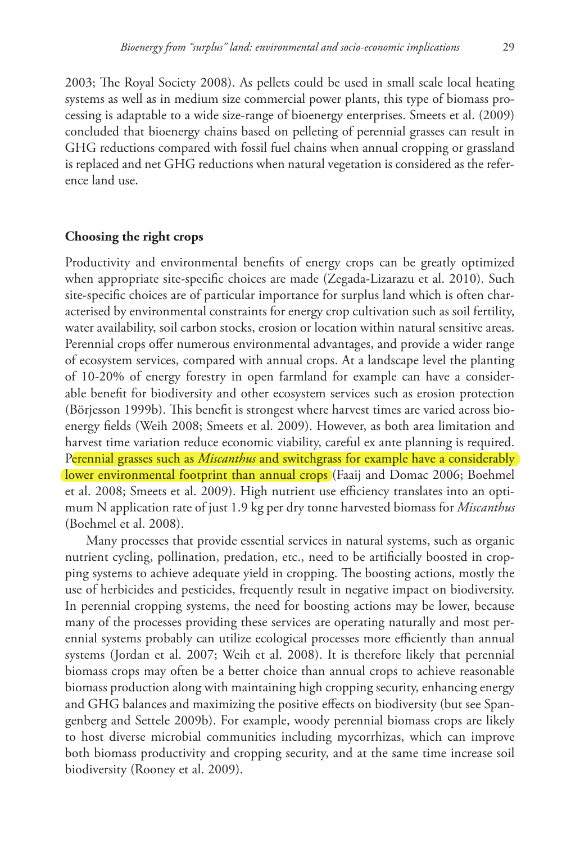2003; The Royal Society 2008). As pellets could be used in small scale local heating systems as well as in medium size commercial power plants, this type of biomass processing is adaptable to a wide size-range of bioenergy enterprises. Smeets et al. (2009) concluded that bioenergy chains based on pelleting of perennial grasses can result in GHG reductions compared with fossil fuel chains when annual cropping or grassland is replaced and net GHG reductions when natural vegetation is considered as the reference land use.

# **Choosing the right crops**

Productivity and environmental benefits of energy crops can be greatly optimized when appropriate site-specific choices are made (Zegada-Lizarazu et al. 2010). Such site-specific choices are of particular importance for surplus land which is often characterised by environmental constraints for energy crop cultivation such as soil fertility, water availability, soil carbon stocks, erosion or location within natural sensitive areas. Perennial crops offer numerous environmental advantages, and provide a wider range of ecosystem services, compared with annual crops. At a landscape level the planting of 10-20% of energy forestry in open farmland for example can have a considerable benefit for biodiversity and other ecosystem services such as erosion protection (Börjesson 1999b). This benefit is strongest where harvest times are varied across bioenergy fields (Weih 2008; Smeets et al. 2009). However, as both area limitation and harvest time variation reduce economic viability, careful ex ante planning is required. Perennial grasses such as *Miscanthus* and switchgrass for example have a considerably lower environmental footprint than annual crops (Faaij and Domac 2006; Boehmel et al. 2008; Smeets et al. 2009). High nutrient use efficiency translates into an optimum N application rate of just 1.9 kg per dry tonne harvested biomass for *Miscanthus*  (Boehmel et al. 2008).

Many processes that provide essential services in natural systems, such as organic nutrient cycling, pollination, predation, etc., need to be artificially boosted in cropping systems to achieve adequate yield in cropping. The boosting actions, mostly the use of herbicides and pesticides, frequently result in negative impact on biodiversity. In perennial cropping systems, the need for boosting actions may be lower, because many of the processes providing these services are operating naturally and most perennial systems probably can utilize ecological processes more efficiently than annual systems (Jordan et al. 2007; Weih et al. 2008). It is therefore likely that perennial biomass crops may often be a better choice than annual crops to achieve reasonable biomass production along with maintaining high cropping security, enhancing energy and GHG balances and maximizing the positive effects on biodiversity (but see Spangenberg and Settele 2009b). For example, woody perennial biomass crops are likely to host diverse microbial communities including mycorrhizas, which can improve both biomass productivity and cropping security, and at the same time increase soil biodiversity (Rooney et al. 2009).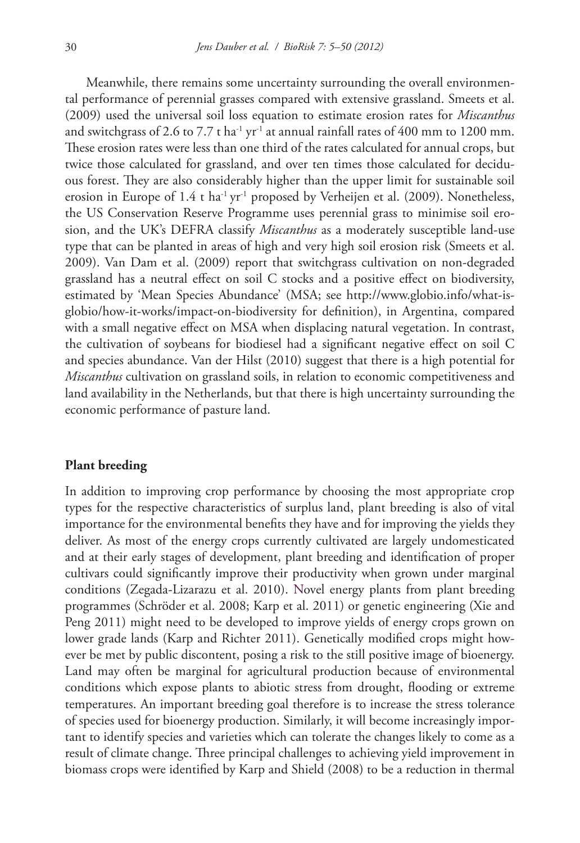Meanwhile, there remains some uncertainty surrounding the overall environmental performance of perennial grasses compared with extensive grassland. Smeets et al. (2009) used the universal soil loss equation to estimate erosion rates for *Miscanthus* and switchgrass of 2.6 to 7.7 t ha<sup>-1</sup> yr<sup>-1</sup> at annual rainfall rates of 400 mm to 1200 mm. These erosion rates were less than one third of the rates calculated for annual crops, but twice those calculated for grassland, and over ten times those calculated for deciduous forest. They are also considerably higher than the upper limit for sustainable soil erosion in Europe of  $1.4$  t ha<sup>-1</sup> yr<sup>-1</sup> proposed by Verheijen et al. (2009). Nonetheless, the US Conservation Reserve Programme uses perennial grass to minimise soil erosion, and the UK's DEFRA classify *Miscanthus* as a moderately susceptible land-use type that can be planted in areas of high and very high soil erosion risk (Smeets et al. 2009). Van Dam et al. (2009) report that switchgrass cultivation on non-degraded grassland has a neutral effect on soil C stocks and a positive effect on biodiversity, estimated by 'Mean Species Abundance' (MSA; see [http://www.globio.info/what-is](http://www.globio.info/what-is-globio/how-it-works/impact-on-biodiversity)[globio/how-it-works/impact-on-biodiversity](http://www.globio.info/what-is-globio/how-it-works/impact-on-biodiversity) for definition), in Argentina, compared with a small negative effect on MSA when displacing natural vegetation. In contrast, the cultivation of soybeans for biodiesel had a significant negative effect on soil C and species abundance. Van der Hilst (2010) suggest that there is a high potential for *Miscanthus* cultivation on grassland soils, in relation to economic competitiveness and land availability in the Netherlands, but that there is high uncertainty surrounding the economic performance of pasture land.

#### **Plant breeding**

In addition to improving crop performance by choosing the most appropriate crop types for the respective characteristics of surplus land, plant breeding is also of vital importance for the environmental benefits they have and for improving the yields they deliver. As most of the energy crops currently cultivated are largely undomesticated and at their early stages of development, plant breeding and identification of proper cultivars could significantly improve their productivity when grown under marginal conditions (Zegada-Lizarazu et al. 2010). Novel energy plants from plant breeding programmes (Schröder et al. 2008; Karp et al. 2011) or genetic engineering (Xie and Peng 2011) might need to be developed to improve yields of energy crops grown on lower grade lands (Karp and Richter 2011). Genetically modified crops might however be met by public discontent, posing a risk to the still positive image of bioenergy. Land may often be marginal for agricultural production because of environmental conditions which expose plants to abiotic stress from drought, flooding or extreme temperatures. An important breeding goal therefore is to increase the stress tolerance of species used for bioenergy production. Similarly, it will become increasingly important to identify species and varieties which can tolerate the changes likely to come as a result of climate change. Three principal challenges to achieving yield improvement in biomass crops were identified by Karp and Shield (2008) to be a reduction in thermal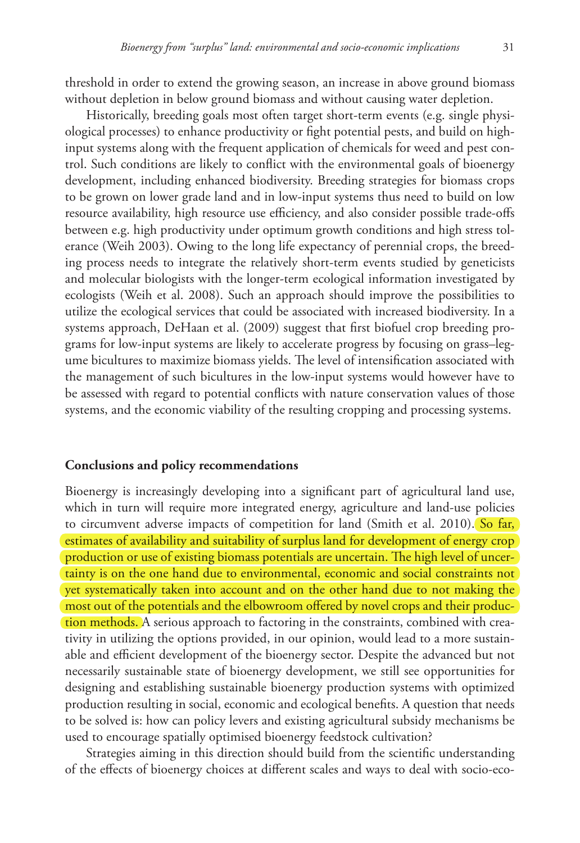threshold in order to extend the growing season, an increase in above ground biomass without depletion in below ground biomass and without causing water depletion.

Historically, breeding goals most often target short-term events (e.g. single physiological processes) to enhance productivity or fight potential pests, and build on highinput systems along with the frequent application of chemicals for weed and pest control. Such conditions are likely to conflict with the environmental goals of bioenergy development, including enhanced biodiversity. Breeding strategies for biomass crops to be grown on lower grade land and in low-input systems thus need to build on low resource availability, high resource use efficiency, and also consider possible trade-offs between e.g. high productivity under optimum growth conditions and high stress tolerance (Weih 2003). Owing to the long life expectancy of perennial crops, the breeding process needs to integrate the relatively short-term events studied by geneticists and molecular biologists with the longer-term ecological information investigated by ecologists (Weih et al. 2008). Such an approach should improve the possibilities to utilize the ecological services that could be associated with increased biodiversity. In a systems approach, DeHaan et al. (2009) suggest that first biofuel crop breeding programs for low-input systems are likely to accelerate progress by focusing on grass–legume bicultures to maximize biomass yields. The level of intensification associated with the management of such bicultures in the low-input systems would however have to be assessed with regard to potential conflicts with nature conservation values of those systems, and the economic viability of the resulting cropping and processing systems.

#### **Conclusions and policy recommendations**

Bioenergy is increasingly developing into a significant part of agricultural land use, which in turn will require more integrated energy, agriculture and land-use policies to circumvent adverse impacts of competition for land (Smith et al. 2010). So far, estimates of availability and suitability of surplus land for development of energy crop production or use of existing biomass potentials are uncertain. The high level of uncertainty is on the one hand due to environmental, economic and social constraints not yet systematically taken into account and on the other hand due to not making the most out of the potentials and the elbowroom offered by novel crops and their production methods. A serious approach to factoring in the constraints, combined with creativity in utilizing the options provided, in our opinion, would lead to a more sustainable and efficient development of the bioenergy sector. Despite the advanced but not necessarily sustainable state of bioenergy development, we still see opportunities for designing and establishing sustainable bioenergy production systems with optimized production resulting in social, economic and ecological benefits. A question that needs to be solved is: how can policy levers and existing agricultural subsidy mechanisms be used to encourage spatially optimised bioenergy feedstock cultivation?

Strategies aiming in this direction should build from the scientific understanding of the effects of bioenergy choices at different scales and ways to deal with socio-eco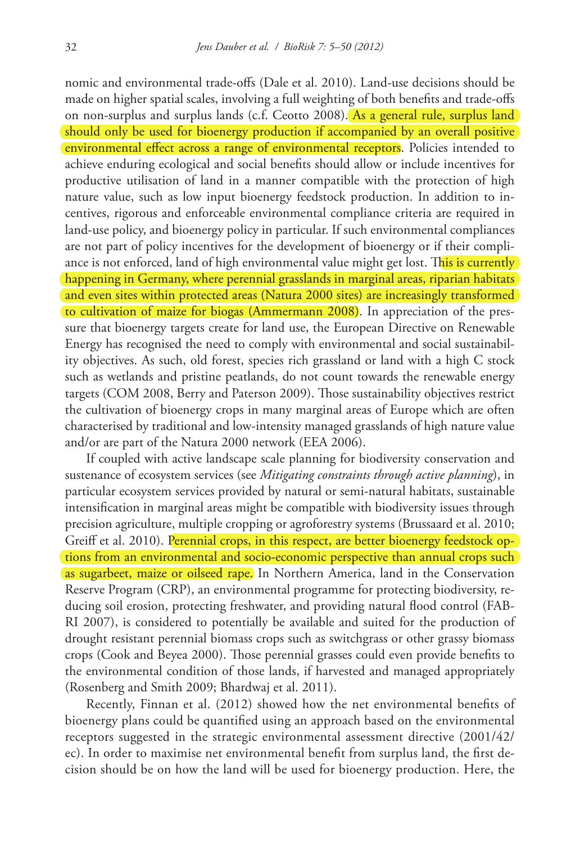nomic and environmental trade-offs (Dale et al. 2010). Land-use decisions should be made on higher spatial scales, involving a full weighting of both benefits and trade-offs on non-surplus and surplus lands (c.f. Ceotto 2008). As a general rule, surplus land should only be used for bioenergy production if accompanied by an overall positive environmental effect across a range of environmental receptors. Policies intended to achieve enduring ecological and social benefits should allow or include incentives for productive utilisation of land in a manner compatible with the protection of high nature value, such as low input bioenergy feedstock production. In addition to incentives, rigorous and enforceable environmental compliance criteria are required in land-use policy, and bioenergy policy in particular. If such environmental compliances are not part of policy incentives for the development of bioenergy or if their compliance is not enforced, land of high environmental value might get lost. This is currently happening in Germany, where perennial grasslands in marginal areas, riparian habitats and even sites within protected areas (Natura 2000 sites) are increasingly transformed to cultivation of maize for biogas (Ammermann 2008). In appreciation of the pressure that bioenergy targets create for land use, the European Directive on Renewable Energy has recognised the need to comply with environmental and social sustainability objectives. As such, old forest, species rich grassland or land with a high C stock such as wetlands and pristine peatlands, do not count towards the renewable energy targets (COM 2008, Berry and Paterson 2009). Those sustainability objectives restrict the cultivation of bioenergy crops in many marginal areas of Europe which are often characterised by traditional and low-intensity managed grasslands of high nature value and/or are part of the Natura 2000 network (EEA 2006).

If coupled with active landscape scale planning for biodiversity conservation and sustenance of ecosystem services (see *Mitigating constraints through active planning*), in particular ecosystem services provided by natural or semi-natural habitats, sustainable intensification in marginal areas might be compatible with biodiversity issues through precision agriculture, multiple cropping or agroforestry systems (Brussaard et al. 2010; Greiff et al. 2010). Perennial crops, in this respect, are better bioenergy feedstock options from an environmental and socio-economic perspective than annual crops such as sugarbeet, maize or oilseed rape. In Northern America, land in the Conservation Reserve Program (CRP), an environmental programme for protecting biodiversity, reducing soil erosion, protecting freshwater, and providing natural flood control (FAB-RI 2007), is considered to potentially be available and suited for the production of drought resistant perennial biomass crops such as switchgrass or other grassy biomass crops (Cook and Beyea 2000). Those perennial grasses could even provide benefits to the environmental condition of those lands, if harvested and managed appropriately (Rosenberg and Smith 2009; Bhardwaj et al. 2011).

Recently, Finnan et al. (2012) showed how the net environmental benefits of bioenergy plans could be quantified using an approach based on the environmental receptors suggested in the strategic environmental assessment directive (2001/42/ ec). In order to maximise net environmental benefit from surplus land, the first decision should be on how the land will be used for bioenergy production. Here, the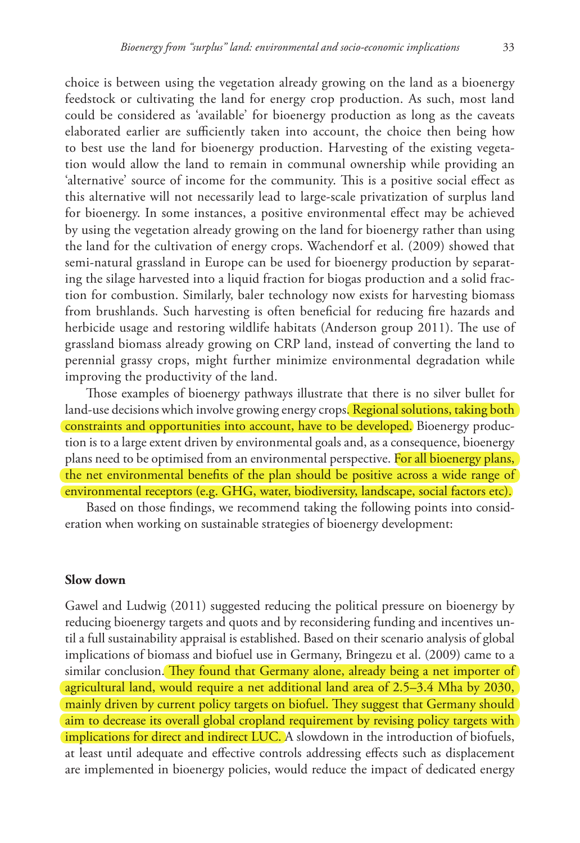choice is between using the vegetation already growing on the land as a bioenergy feedstock or cultivating the land for energy crop production. As such, most land could be considered as 'available' for bioenergy production as long as the caveats elaborated earlier are sufficiently taken into account, the choice then being how to best use the land for bioenergy production. Harvesting of the existing vegetation would allow the land to remain in communal ownership while providing an 'alternative' source of income for the community. This is a positive social effect as this alternative will not necessarily lead to large-scale privatization of surplus land for bioenergy. In some instances, a positive environmental effect may be achieved by using the vegetation already growing on the land for bioenergy rather than using the land for the cultivation of energy crops. Wachendorf et al. (2009) showed that semi-natural grassland in Europe can be used for bioenergy production by separating the silage harvested into a liquid fraction for biogas production and a solid fraction for combustion. Similarly, baler technology now exists for harvesting biomass from brushlands. Such harvesting is often beneficial for reducing fire hazards and herbicide usage and restoring wildlife habitats (Anderson group 2011). The use of grassland biomass already growing on CRP land, instead of converting the land to perennial grassy crops, might further minimize environmental degradation while improving the productivity of the land.

Those examples of bioenergy pathways illustrate that there is no silver bullet for land-use decisions which involve growing energy crops. Regional solutions, taking both constraints and opportunities into account, have to be developed. Bioenergy production is to a large extent driven by environmental goals and, as a consequence, bioenergy plans need to be optimised from an environmental perspective. For all bioenergy plans, the net environmental benefits of the plan should be positive across a wide range of environmental receptors (e.g. GHG, water, biodiversity, landscape, social factors etc).

Based on those findings, we recommend taking the following points into consideration when working on sustainable strategies of bioenergy development:

# **Slow down**

Gawel and Ludwig (2011) suggested reducing the political pressure on bioenergy by reducing bioenergy targets and quots and by reconsidering funding and incentives until a full sustainability appraisal is established. Based on their scenario analysis of global implications of biomass and biofuel use in Germany, Bringezu et al. (2009) came to a similar conclusion. They found that Germany alone, already being a net importer of agricultural land, would require a net additional land area of 2.5–3.4 Mha by 2030, mainly driven by current policy targets on biofuel. They suggest that Germany should aim to decrease its overall global cropland requirement by revising policy targets with implications for direct and indirect LUC. A slowdown in the introduction of biofuels, at least until adequate and effective controls addressing effects such as displacement are implemented in bioenergy policies, would reduce the impact of dedicated energy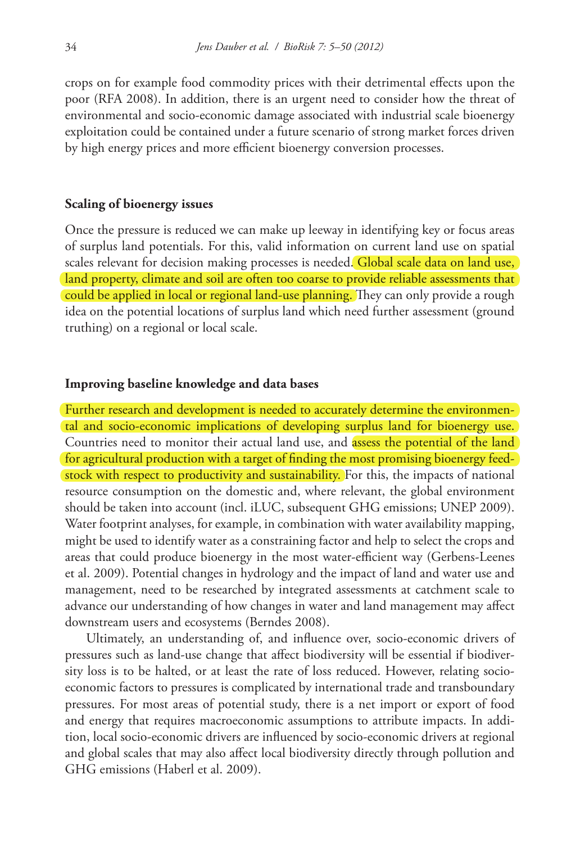crops on for example food commodity prices with their detrimental effects upon the poor (RFA 2008). In addition, there is an urgent need to consider how the threat of environmental and socio-economic damage associated with industrial scale bioenergy exploitation could be contained under a future scenario of strong market forces driven by high energy prices and more efficient bioenergy conversion processes.

# **Scaling of bioenergy issues**

Once the pressure is reduced we can make up leeway in identifying key or focus areas of surplus land potentials. For this, valid information on current land use on spatial scales relevant for decision making processes is needed. Global scale data on land use, land property, climate and soil are often too coarse to provide reliable assessments that could be applied in local or regional land-use planning. They can only provide a rough idea on the potential locations of surplus land which need further assessment (ground truthing) on a regional or local scale.

#### **Improving baseline knowledge and data bases**

Further research and development is needed to accurately determine the environmental and socio-economic implications of developing surplus land for bioenergy use. Countries need to monitor their actual land use, and assess the potential of the land for agricultural production with a target of finding the most promising bioenergy feedstock with respect to productivity and sustainability. For this, the impacts of national resource consumption on the domestic and, where relevant, the global environment should be taken into account (incl. iLUC, subsequent GHG emissions; UNEP 2009). Water footprint analyses, for example, in combination with water availability mapping, might be used to identify water as a constraining factor and help to select the crops and areas that could produce bioenergy in the most water-efficient way (Gerbens-Leenes et al. 2009). Potential changes in hydrology and the impact of land and water use and management, need to be researched by integrated assessments at catchment scale to advance our understanding of how changes in water and land management may affect downstream users and ecosystems (Berndes 2008).

Ultimately, an understanding of, and influence over, socio-economic drivers of pressures such as land-use change that affect biodiversity will be essential if biodiversity loss is to be halted, or at least the rate of loss reduced. However, relating socioeconomic factors to pressures is complicated by international trade and transboundary pressures. For most areas of potential study, there is a net import or export of food and energy that requires macroeconomic assumptions to attribute impacts. In addition, local socio-economic drivers are influenced by socio-economic drivers at regional and global scales that may also affect local biodiversity directly through pollution and GHG emissions (Haberl et al. 2009).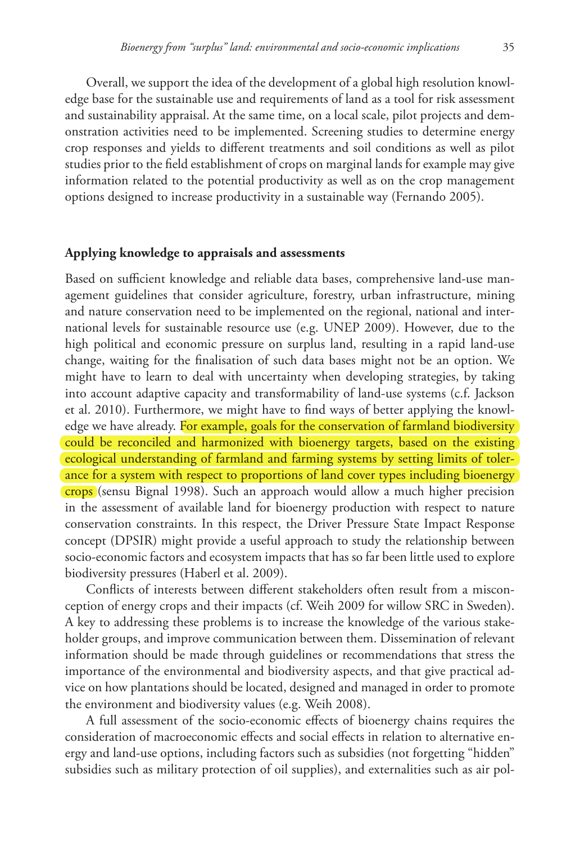Overall, we support the idea of the development of a global high resolution knowledge base for the sustainable use and requirements of land as a tool for risk assessment and sustainability appraisal. At the same time, on a local scale, pilot projects and demonstration activities need to be implemented. Screening studies to determine energy crop responses and yields to different treatments and soil conditions as well as pilot studies prior to the field establishment of crops on marginal lands for example may give information related to the potential productivity as well as on the crop management options designed to increase productivity in a sustainable way (Fernando 2005).

# **Applying knowledge to appraisals and assessments**

Based on sufficient knowledge and reliable data bases, comprehensive land-use management guidelines that consider agriculture, forestry, urban infrastructure, mining and nature conservation need to be implemented on the regional, national and international levels for sustainable resource use (e.g. UNEP 2009). However, due to the high political and economic pressure on surplus land, resulting in a rapid land-use change, waiting for the finalisation of such data bases might not be an option. We might have to learn to deal with uncertainty when developing strategies, by taking into account adaptive capacity and transformability of land-use systems (c.f. Jackson et al. 2010). Furthermore, we might have to find ways of better applying the knowledge we have already. For example, goals for the conservation of farmland biodiversity could be reconciled and harmonized with bioenergy targets, based on the existing ecological understanding of farmland and farming systems by setting limits of tolerance for a system with respect to proportions of land cover types including bioenergy crops (sensu Bignal 1998). Such an approach would allow a much higher precision in the assessment of available land for bioenergy production with respect to nature conservation constraints. In this respect, the Driver Pressure State Impact Response concept (DPSIR) might provide a useful approach to study the relationship between socio-economic factors and ecosystem impacts that has so far been little used to explore biodiversity pressures (Haberl et al. 2009).

Conflicts of interests between different stakeholders often result from a misconception of energy crops and their impacts (cf. Weih 2009 for willow SRC in Sweden). A key to addressing these problems is to increase the knowledge of the various stakeholder groups, and improve communication between them. Dissemination of relevant information should be made through guidelines or recommendations that stress the importance of the environmental and biodiversity aspects, and that give practical advice on how plantations should be located, designed and managed in order to promote the environment and biodiversity values (e.g. Weih 2008).

A full assessment of the socio-economic effects of bioenergy chains requires the consideration of macroeconomic effects and social effects in relation to alternative energy and land-use options, including factors such as subsidies (not forgetting "hidden" subsidies such as military protection of oil supplies), and externalities such as air pol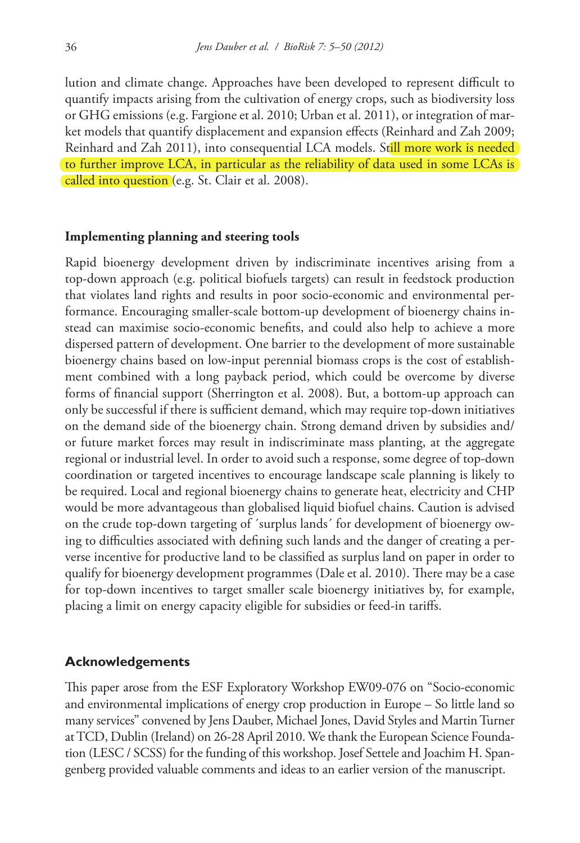lution and climate change. Approaches have been developed to represent difficult to quantify impacts arising from the cultivation of energy crops, such as biodiversity loss or GHG emissions (e.g. Fargione et al. 2010; Urban et al. 2011), or integration of market models that quantify displacement and expansion effects (Reinhard and Zah 2009; Reinhard and Zah 2011), into consequential LCA models. Still more work is needed to further improve LCA, in particular as the reliability of data used in some LCAs is called into question (e.g. St. Clair et al. 2008).

# **Implementing planning and steering tools**

Rapid bioenergy development driven by indiscriminate incentives arising from a top-down approach (e.g. political biofuels targets) can result in feedstock production that violates land rights and results in poor socio-economic and environmental performance. Encouraging smaller-scale bottom-up development of bioenergy chains instead can maximise socio-economic benefits, and could also help to achieve a more dispersed pattern of development. One barrier to the development of more sustainable bioenergy chains based on low-input perennial biomass crops is the cost of establishment combined with a long payback period, which could be overcome by diverse forms of financial support (Sherrington et al. 2008). But, a bottom-up approach can only be successful if there is sufficient demand, which may require top-down initiatives on the demand side of the bioenergy chain. Strong demand driven by subsidies and/ or future market forces may result in indiscriminate mass planting, at the aggregate regional or industrial level. In order to avoid such a response, some degree of top-down coordination or targeted incentives to encourage landscape scale planning is likely to be required. Local and regional bioenergy chains to generate heat, electricity and CHP would be more advantageous than globalised liquid biofuel chains. Caution is advised on the crude top-down targeting of ´surplus lands´ for development of bioenergy owing to difficulties associated with defining such lands and the danger of creating a perverse incentive for productive land to be classified as surplus land on paper in order to qualify for bioenergy development programmes (Dale et al. 2010). There may be a case for top-down incentives to target smaller scale bioenergy initiatives by, for example, placing a limit on energy capacity eligible for subsidies or feed-in tariffs.

# **Acknowledgements**

This paper arose from the ESF Exploratory Workshop EW09-076 on "Socio-economic and environmental implications of energy crop production in Europe – So little land so many services" convened by Jens Dauber, Michael Jones, David Styles and Martin Turner at TCD, Dublin (Ireland) on 26-28 April 2010. We thank the European Science Foundation (LESC / SCSS) for the funding of this workshop. Josef Settele and Joachim H. Spangenberg provided valuable comments and ideas to an earlier version of the manuscript.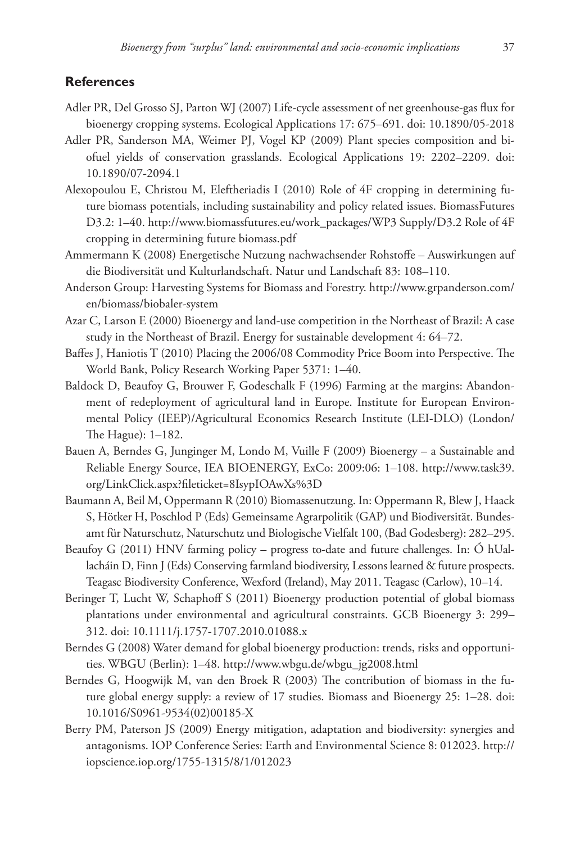# **References**

- Adler PR, Del Grosso SJ, Parton WJ (2007) Life-cycle assessment of net greenhouse-gas flux for bioenergy cropping systems. Ecological Applications 17: 675–691. [doi: 10.1890/05-2018](http://dx.doi.org/10.1890/05-2018)
- Adler PR, Sanderson MA, Weimer PJ, Vogel KP (2009) Plant species composition and biofuel yields of conservation grasslands. Ecological Applications 19: 2202–2209. [doi:](http://dx.doi.org/10.1890/07-2094.1) [10.1890/07-2094.1](http://dx.doi.org/10.1890/07-2094.1)
- Alexopoulou E, Christou M, Eleftheriadis I (2010) Role of 4F cropping in determining future biomass potentials, including sustainability and policy related issues. BiomassFutures D3.2: 1–40. [http://www.biomassfutures.eu/work\\_packages/WP3 Supply/D3.2 Role of 4F](http://www.biomassfutures.eu/work_packages/WP3 Supply/D3.2 Role of 4F cropping in determining future biomass.pdf) [cropping in determining future biomass.pdf](http://www.biomassfutures.eu/work_packages/WP3 Supply/D3.2 Role of 4F cropping in determining future biomass.pdf)
- Ammermann K (2008) Energetische Nutzung nachwachsender Rohstoffe Auswirkungen auf die Biodiversität und Kulturlandschaft. Natur und Landschaft 83: 108–110.
- Anderson Group: Harvesting Systems for Biomass and Forestry. [http://www.grpanderson.com/](http://www.grpanderson.com/en/biomass/biobaler-system) [en/biomass/biobaler-system](http://www.grpanderson.com/en/biomass/biobaler-system)
- Azar C, Larson E (2000) Bioenergy and land-use competition in the Northeast of Brazil: A case study in the Northeast of Brazil. Energy for sustainable development 4: 64–72.
- Baffes J, Haniotis T (2010) Placing the 2006/08 Commodity Price Boom into Perspective. The World Bank, Policy Research Working Paper 5371: 1–40.
- Baldock D, Beaufoy G, Brouwer F, Godeschalk F (1996) Farming at the margins: Abandonment of redeployment of agricultural land in Europe. Institute for European Environmental Policy (IEEP)/Agricultural Economics Research Institute (LEI-DLO) (London/ The Hague): 1–182.
- Bauen A, Berndes G, Junginger M, Londo M, Vuille F (2009) Bioenergy a Sustainable and Reliable Energy Source, IEA BIOENERGY, ExCo: 2009:06: 1–108. [http://www.task39.](http://www.task39.org/LinkClick.aspx?fileticket=8IsypIOAwXs%3D) [org/LinkClick.aspx?fileticket=8IsypIOAwXs%3D](http://www.task39.org/LinkClick.aspx?fileticket=8IsypIOAwXs%3D)
- Baumann A, Beil M, Oppermann R (2010) Biomassenutzung. In: Oppermann R, Blew J, Haack S, Hötker H, Poschlod P (Eds) Gemeinsame Agrarpolitik (GAP) und Biodiversität. Bundesamt für Naturschutz, Naturschutz und Biologische Vielfalt 100, (Bad Godesberg): 282–295.
- Beaufoy G (2011) HNV farming policy progress to-date and future challenges. In: Ó hUallacháin D, Finn J (Eds) Conserving farmland biodiversity, Lessons learned & future prospects. Teagasc Biodiversity Conference, Wexford (Ireland), May 2011. Teagasc (Carlow), 10–14.
- Beringer T, Lucht W, Schaphoff S (2011) Bioenergy production potential of global biomass plantations under environmental and agricultural constraints. GCB Bioenergy 3: 299– 312. [doi: 10.1111/j.1757-1707.2010.01088.x](http://dx.doi.org/10.1111/j.1757-1707.2010.01088.x)
- Berndes G (2008) Water demand for global bioenergy production: trends, risks and opportunities. WBGU (Berlin): 1–48. [http://www.wbgu.de/wbgu\\_jg2008.html](http://www.wbgu.de/wbgu_jg2008.html)
- Berndes G, Hoogwijk M, van den Broek R (2003) The contribution of biomass in the future global energy supply: a review of 17 studies. Biomass and Bioenergy 25: 1–28. [doi:](http://dx.doi.org/10.1016/S0961-9534(02)00185-X) [10.1016/S0961-9534\(02\)00185-X](http://dx.doi.org/10.1016/S0961-9534(02)00185-X)
- Berry PM, Paterson JS (2009) Energy mitigation, adaptation and biodiversity: synergies and antagonisms. IOP Conference Series: Earth and Environmental Science 8: 012023. [http://](http://iopscience.iop.org/1755-1315/8/1/012023) [iopscience.iop.org/1755-1315/8/1/012023](http://iopscience.iop.org/1755-1315/8/1/012023)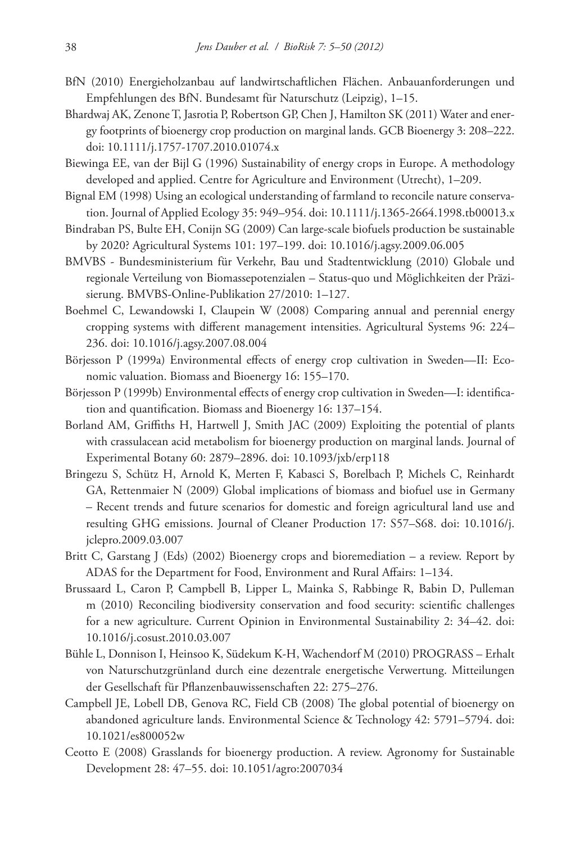- BfN (2010) Energieholzanbau auf landwirtschaftlichen Flächen. Anbauanforderungen und Empfehlungen des BfN. Bundesamt für Naturschutz (Leipzig), 1–15.
- Bhardwaj AK, Zenone T, Jasrotia P, Robertson GP, Chen J, Hamilton SK (2011) Water and energy footprints of bioenergy crop production on marginal lands. GCB Bioenergy 3: 208–222. [doi: 10.1111/j.1757-1707.2010.01074.x](http://dx.doi.org/10.1111/j.1757-1707.2010.01074.x)
- Biewinga EE, van der Bijl G (1996) Sustainability of energy crops in Europe. A methodology developed and applied. Centre for Agriculture and Environment (Utrecht), 1–209.
- Bignal EM (1998) Using an ecological understanding of farmland to reconcile nature conservation. Journal of Applied Ecology 35: 949–954. [doi: 10.1111/j.1365-2664.1998.tb00013.x](http://dx.doi.org/10.1111/j.1365-2664.1998.tb00013.x)
- Bindraban PS, Bulte EH, Conijn SG (2009) Can large-scale biofuels production be sustainable by 2020? Agricultural Systems 101: 197–199. [doi: 10.1016/j.agsy.2009.06.005](http://dx.doi.org/10.1016/j.agsy.2009.06.005)
- BMVBS Bundesministerium für Verkehr, Bau und Stadtentwicklung (2010) Globale und regionale Verteilung von Biomassepotenzialen – Status-quo und Möglichkeiten der Präzisierung. BMVBS-Online-Publikation 27/2010: 1–127.
- Boehmel C, Lewandowski I, Claupein W (2008) Comparing annual and perennial energy cropping systems with different management intensities. Agricultural Systems 96: 224– 236. [doi: 10.1016/j.agsy.2007.08.004](http://dx.doi.org/10.1016/j.agsy.2007.08.004)
- Börjesson P (1999a) Environmental effects of energy crop cultivation in Sweden—II: Economic valuation. Biomass and Bioenergy 16: 155–170.
- Börjesson P (1999b) Environmental effects of energy crop cultivation in Sweden—I: identification and quantification. Biomass and Bioenergy 16: 137–154.
- Borland AM, Griffiths H, Hartwell J, Smith JAC (2009) Exploiting the potential of plants with crassulacean acid metabolism for bioenergy production on marginal lands. Journal of Experimental Botany 60: 2879–2896. [doi: 10.1093/jxb/erp118](http://dx.doi.org/10.1093/jxb/erp118)
- Bringezu S, Schütz H, Arnold K, Merten F, Kabasci S, Borelbach P, Michels C, Reinhardt GA, Rettenmaier N (2009) Global implications of biomass and biofuel use in Germany – Recent trends and future scenarios for domestic and foreign agricultural land use and resulting GHG emissions. Journal of Cleaner Production 17: S57–S68. [doi: 10.1016/j.](http://dx.doi.org/10.1016/j.jclepro.2009.03.007) [jclepro.2009.03.007](http://dx.doi.org/10.1016/j.jclepro.2009.03.007)
- Britt C, Garstang J (Eds) (2002) Bioenergy crops and bioremediation a review. Report by ADAS for the Department for Food, Environment and Rural Affairs: 1–134.
- Brussaard L, Caron P, Campbell B, Lipper L, Mainka S, Rabbinge R, Babin D, Pulleman m (2010) Reconciling biodiversity conservation and food security: scientific challenges for a new agriculture. Current Opinion in Environmental Sustainability 2: 34–42. [doi:](http://dx.doi.org/10.1016/j.cosust.2010.03.007) [10.1016/j.cosust.2010.03.007](http://dx.doi.org/10.1016/j.cosust.2010.03.007)
- Bühle L, Donnison I, Heinsoo K, Südekum K-H, Wachendorf M (2010) PROGRASS Erhalt von Naturschutzgrünland durch eine dezentrale energetische Verwertung. Mitteilungen der Gesellschaft für Pflanzenbauwissenschaften 22: 275–276.
- Campbell JE, Lobell DB, Genova RC, Field CB (2008) The global potential of bioenergy on abandoned agriculture lands. Environmental Science & Technology 42: 5791–5794. [doi:](http://dx.doi.org/10.1021/es800052w) [10.1021/es800052w](http://dx.doi.org/10.1021/es800052w)
- Ceotto E (2008) Grasslands for bioenergy production. A review. Agronomy for Sustainable Development 28: 47–55. [doi: 10.1051/agro:2007034](http://dx.doi.org/10.1051/agro)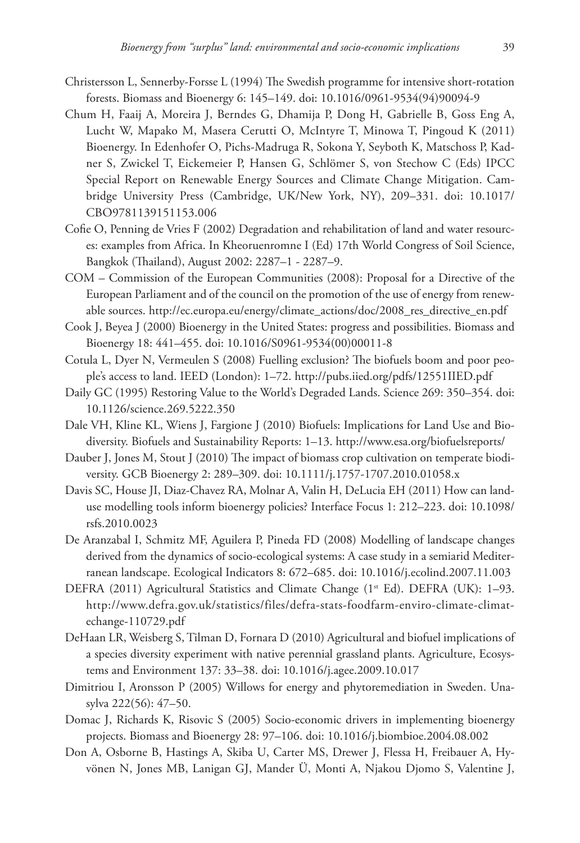- Christersson L, Sennerby-Forsse L (1994) The Swedish programme for intensive short-rotation forests. Biomass and Bioenergy 6: 145–149. [doi: 10.1016/0961-9534\(94\)90094-9](http://dx.doi.org/10.1016/0961-9534(94)90094-9)
- Chum H, Faaij A, Moreira J, Berndes G, Dhamija P, Dong H, Gabrielle B, Goss Eng A, Lucht W, Mapako M, Masera Cerutti O, McIntyre T, Minowa T, Pingoud K (2011) Bioenergy. In Edenhofer O, Pichs‐Madruga R, Sokona Y, Seyboth K, Matschoss P, Kadner S, Zwickel T, Eickemeier P, Hansen G, Schlömer S, von Stechow C (Eds) IPCC Special Report on Renewable Energy Sources and Climate Change Mitigation. Cambridge University Press (Cambridge, UK/New York, NY), 209–331. [doi: 10.1017/](http://dx.doi.org/10.1017/CBO9781139151153.006) [CBO9781139151153.006](http://dx.doi.org/10.1017/CBO9781139151153.006)
- Cofie O, Penning de Vries F (2002) Degradation and rehabilitation of land and water resources: examples from Africa. In Kheoruenromne I (Ed) 17th World Congress of Soil Science, Bangkok (Thailand), August 2002: 2287–1 - 2287–9.
- COM Commission of the European Communities (2008): Proposal for a Directive of the European Parliament and of the council on the promotion of the use of energy from renewable sources. [http://ec.europa.eu/energy/climate\\_actions/doc/2008\\_res\\_directive\\_en.pdf](http://ec.europa.eu/energy/climate_actions/doc/2008_res_directive_en.pdf)
- Cook J, Beyea J (2000) Bioenergy in the United States: progress and possibilities. Biomass and Bioenergy 18: 441–455. [doi: 10.1016/S0961-9534\(00\)00011-8](http://dx.doi.org/10.1016/S0961-9534(00)00011-8)
- Cotula L, Dyer N, Vermeulen S (2008) Fuelling exclusion? The biofuels boom and poor people's access to land. IEED (London): 1–72. <http://pubs.iied.org/pdfs/12551IIED.pdf>
- Daily GC (1995) Restoring Value to the World's Degraded Lands. Science 269: 350–354. [doi:](http://dx.doi.org/10.1126/science.269.5222.350) [10.1126/science.269.5222.350](http://dx.doi.org/10.1126/science.269.5222.350)
- Dale VH, Kline KL, Wiens J, Fargione J (2010) Biofuels: Implications for Land Use and Biodiversity. Biofuels and Sustainability Reports: 1–13. <http://www.esa.org/biofuelsreports/>
- Dauber J, Jones M, Stout J (2010) The impact of biomass crop cultivation on temperate biodiversity. GCB Bioenergy 2: 289–309. [doi: 10.1111/j.1757-1707.2010.01058.x](http://dx.doi.org/10.1111/j.1757-1707.2010.01058.x)
- Davis SC, House JI, Diaz-Chavez RA, Molnar A, Valin H, DeLucia EH (2011) How can landuse modelling tools inform bioenergy policies? Interface Focus 1: 212–223. [doi: 10.1098/](http://dx.doi.org/10.1098/rsfs.2010.0023) [rsfs.2010.0023](http://dx.doi.org/10.1098/rsfs.2010.0023)
- De Aranzabal I, Schmitz MF, Aguilera P, Pineda FD (2008) Modelling of landscape changes derived from the dynamics of socio-ecological systems: A case study in a semiarid Mediterranean landscape. Ecological Indicators 8: 672–685. [doi: 10.1016/j.ecolind.2007.11.003](http://dx.doi.org/10.1016/j.ecolind.2007.11.003)
- DEFRA (2011) Agricultural Statistics and Climate Change ( $1$ <sup>st</sup> Ed). DEFRA (UK):  $1-93$ . [http://www.defra.gov.uk/statistics/files/defra-stats-foodfarm-enviro-climate-climat](http://www.defra.gov.uk/statistics/files/defra-stats-foodfarm-enviro-climate-climatechange-110729.pdf)[echange-110729.pdf](http://www.defra.gov.uk/statistics/files/defra-stats-foodfarm-enviro-climate-climatechange-110729.pdf)
- DeHaan LR, Weisberg S, Tilman D, Fornara D (2010) Agricultural and biofuel implications of a species diversity experiment with native perennial grassland plants. Agriculture, Ecosystems and Environment 137: 33–38. [doi: 10.1016/j.agee.2009.10.017](http://dx.doi.org/10.1016/j.agee.2009.10.017)
- Dimitriou I, Aronsson P (2005) Willows for energy and phytoremediation in Sweden. Unasylva 222(56): 47–50.
- Domac J, Richards K, Risovic S (2005) Socio-economic drivers in implementing bioenergy projects. Biomass and Bioenergy 28: 97–106. [doi: 10.1016/j.biombioe.2004.08.002](http://dx.doi.org/10.1016/j.biombioe.2004.08.002)
- Don A, Osborne B, Hastings A, Skiba U, Carter MS, Drewer J, Flessa H, Freibauer A, Hyvönen N, Jones MB, Lanigan GJ, Mander Ü, Monti A, Njakou Djomo S, Valentine J,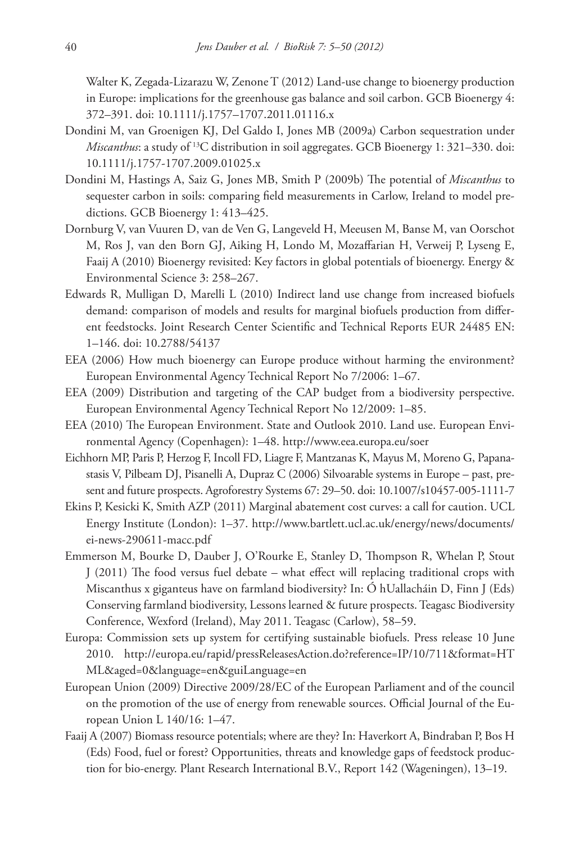Walter K, Zegada-Lizarazu W, Zenone T (2012) Land-use change to bioenergy production in Europe: implications for the greenhouse gas balance and soil carbon. GCB Bioenergy 4: 372–391. doi: 10.1111/j.1757–1707.2011.01116.x

- Dondini M, van Groenigen KJ, Del Galdo I, Jones MB (2009a) Carbon sequestration under *Miscanthus*: a study of <sup>13</sup>C distribution in soil aggregates. GCB Bioenergy 1: 321–330. [doi:](http://dx.doi.org/10.1111/j.1757-1707.2009.01025.x) [10.1111/j.1757-1707.2009.01025.x](http://dx.doi.org/10.1111/j.1757-1707.2009.01025.x)
- Dondini M, Hastings A, Saiz G, Jones MB, Smith P (2009b) The potential of *Miscanthus* to sequester carbon in soils: comparing field measurements in Carlow, Ireland to model predictions. GCB Bioenergy 1: 413–425.
- Dornburg V, van Vuuren D, van de Ven G, Langeveld H, Meeusen M, Banse M, van Oorschot M, Ros J, van den Born GJ, Aiking H, Londo M, Mozaffarian H, Verweij P, Lyseng E, Faaij A (2010) Bioenergy revisited: Key factors in global potentials of bioenergy. Energy & Environmental Science 3: 258–267.
- Edwards R, Mulligan D, Marelli L (2010) Indirect land use change from increased biofuels demand: comparison of models and results for marginal biofuels production from different feedstocks. Joint Research Center Scientific and Technical Reports EUR 24485 EN: 1–146. [doi: 10.2788/54137](http://dx.doi.org/10.2788/54137)
- EEA (2006) How much bioenergy can Europe produce without harming the environment? European Environmental Agency Technical Report No 7/2006: 1–67.
- EEA (2009) Distribution and targeting of the CAP budget from a biodiversity perspective. European Environmental Agency Technical Report No 12/2009: 1–85.
- EEA (2010) The European Environment. State and Outlook 2010. Land use. European Environmental Agency (Copenhagen): 1–48.<http://www.eea.europa.eu/soer>
- Eichhorn MP, Paris P, Herzog F, Incoll FD, Liagre F, Mantzanas K, Mayus M, Moreno G, Papanastasis V, Pilbeam DJ, Pisanelli A, Dupraz C (2006) Silvoarable systems in Europe – past, present and future prospects. Agroforestry Systems 67: 29–50. [doi: 10.1007/s10457-005-1111-7](http://dx.doi.org/10.1007/s10457-005-1111-7)
- Ekins P, Kesicki K, Smith AZP (2011) Marginal abatement cost curves: a call for caution. UCL Energy Institute (London): 1–37. [http://www.bartlett.ucl.ac.uk/energy/news/documents/](http://www.bartlett.ucl.ac.uk/energy/news/documents/ei-news-290611-macc.pdf) [ei-news-290611-macc.pdf](http://www.bartlett.ucl.ac.uk/energy/news/documents/ei-news-290611-macc.pdf)
- Emmerson M, Bourke D, Dauber J, O'Rourke E, Stanley D, Thompson R, Whelan P, Stout J (2011) The food versus fuel debate – what effect will replacing traditional crops with Miscanthus x giganteus have on farmland biodiversity? In: Ó hUallacháin D, Finn J (Eds) Conserving farmland biodiversity, Lessons learned & future prospects. Teagasc Biodiversity Conference, Wexford (Ireland), May 2011. Teagasc (Carlow), 58–59.
- Europa: Commission sets up system for certifying sustainable biofuels. Press release 10 June 2010. [http://europa.eu/rapid/pressReleasesAction.do?reference=IP/10/711&format=HT](http://europa.eu/rapid/pressReleasesAction.do?reference=IP/10/711&format=HTML&aged=0&language=en&guiLanguage=en) [ML&aged=0&language=en&guiLanguage=en](http://europa.eu/rapid/pressReleasesAction.do?reference=IP/10/711&format=HTML&aged=0&language=en&guiLanguage=en)
- European Union (2009) Directive 2009/28/EC of the European Parliament and of the council on the promotion of the use of energy from renewable sources. Official Journal of the European Union L 140/16: 1–47.
- Faaij A (2007) Biomass resource potentials; where are they? In: Haverkort A, Bindraban P, Bos H (Eds) Food, fuel or forest? Opportunities, threats and knowledge gaps of feedstock production for bio-energy. Plant Research International B.V., Report 142 (Wageningen), 13–19.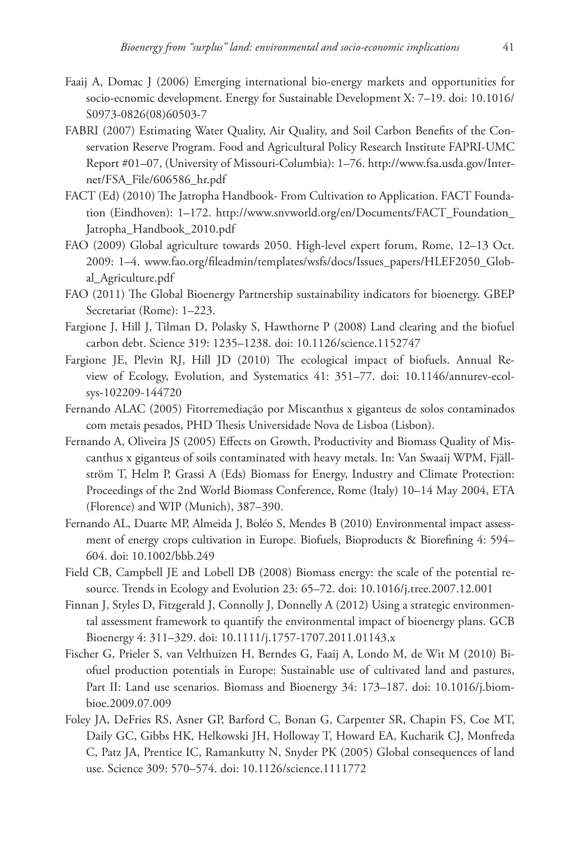- Faaij A, Domac J (2006) Emerging international bio-energy markets and opportunities for socio-ecnomic development. Energy for Sustainable Development X: 7–19. [doi: 10.1016/](http://dx.doi.org/10.1016/S0973-0826(08)60503-7) [S0973-0826\(08\)60503-7](http://dx.doi.org/10.1016/S0973-0826(08)60503-7)
- FABRI (2007) Estimating Water Quality, Air Quality, and Soil Carbon Benefits of the Conservation Reserve Program. Food and Agricultural Policy Research Institute FAPRI-UMC Report #01–07, (University of Missouri-Columbia): 1–76. [http://www.fsa.usda.gov/Inter](http://www.fsa.usda.gov/Internet/FSA_File/606586_hr.pdf)[net/FSA\\_File/606586\\_hr.pdf](http://www.fsa.usda.gov/Internet/FSA_File/606586_hr.pdf)
- FACT (Ed) (2010) The Jatropha Handbook- From Cultivation to Application. FACT Foundation (Eindhoven): 1–172. [http://www.snvworld.org/en/Documents/FACT\\_Foundation\\_](http://www.snvworld.org/en/Documents/FACT_Foundation_Jatropha_Handbook_2010.pdf) [Jatropha\\_Handbook\\_2010.pdf](http://www.snvworld.org/en/Documents/FACT_Foundation_Jatropha_Handbook_2010.pdf)
- FAO (2009) Global agriculture towards 2050. High-level expert forum, Rome, 12–13 Oct. 2009: 1–4. [www.fao.org/fileadmin/templates/wsfs/docs/Issues\\_papers/HLEF2050\\_Glob](www.fao.org/fileadmin/templates/wsfs/docs/Issues_papers/HLEF2050_Global_Agriculture.pdf)[al\\_Agriculture.pdf](www.fao.org/fileadmin/templates/wsfs/docs/Issues_papers/HLEF2050_Global_Agriculture.pdf)
- FAO (2011) The Global Bioenergy Partnership sustainability indicators for bioenergy. GBEP Secretariat (Rome): 1–223.
- Fargione J, Hill J, Tilman D, Polasky S, Hawthorne P (2008) Land clearing and the biofuel carbon debt. Science 319: 1235–1238. [doi: 10.1126/science.1152747](http://dx.doi.org/10.1126/science.1152747)
- Fargione JE, Plevin RJ, Hill JD (2010) The ecological impact of biofuels. Annual Review of Ecology, Evolution, and Systematics 41: 351–77. [doi: 10.1146/annurev-ecol](http://dx.doi.org/10.1146/annurev-ecolsys-102209-144720)[sys-102209-144720](http://dx.doi.org/10.1146/annurev-ecolsys-102209-144720)
- Fernando ALAC (2005) Fitorremediação por Miscanthus x giganteus de solos contaminados com metais pesados, PHD Thesis Universidade Nova de Lisboa (Lisbon).
- Fernando A, Oliveira JS (2005) Effects on Growth, Productivity and Biomass Quality of Miscanthus x giganteus of soils contaminated with heavy metals. In: Van Swaaij WPM, Fjällström T, Helm P, Grassi A (Eds) Biomass for Energy, Industry and Climate Protection: Proceedings of the 2nd World Biomass Conference, Rome (Italy) 10–14 May 2004, ETA (Florence) and WIP (Munich), 387–390.
- Fernando AL, Duarte MP, Almeida J, Boléo S, Mendes B (2010) Environmental impact assessment of energy crops cultivation in Europe. Biofuels, Bioproducts & Biorefining 4: 594– 604. [doi: 10.1002/bbb.249](http://dx.doi.org/10.1002/bbb.249)
- Field CB, Campbell JE and Lobell DB (2008) Biomass energy: the scale of the potential resource. Trends in Ecology and Evolution 23: 65–72. [doi: 10.1016/j.tree.2007.12.001](http://dx.doi.org/10.1016/j.tree.2007.12.001)
- Finnan J, Styles D, Fitzgerald J, Connolly J, Donnelly A (2012) Using a strategic environmental assessment framework to quantify the environmental impact of bioenergy plans. GCB Bioenergy 4: 311–329. [doi: 10.1111/j.1757-1707.2011.01143.x](http://dx.doi.org/10.1111/j.1757-1707.2011.01143.x)
- Fischer G, Prieler S, van Velthuizen H, Berndes G, Faaij A, Londo M, de Wit M (2010) Biofuel production potentials in Europe: Sustainable use of cultivated land and pastures, Part II: Land use scenarios. Biomass and Bioenergy 34: 173–187. [doi: 10.1016/j.biom](http://dx.doi.org/10.1016/j.biombioe.2009.07.009)[bioe.2009.07.009](http://dx.doi.org/10.1016/j.biombioe.2009.07.009)
- Foley JA, DeFries RS, Asner GP, Barford C, Bonan G, Carpenter SR, Chapin FS, Coe MT, Daily GC, Gibbs HK, Helkowski JH, Holloway T, Howard EA, Kucharik CJ, Monfreda C, Patz JA, Prentice IC, Ramankutty N, Snyder PK (2005) Global consequences of land use. Science 309: 570–574. [doi: 10.1126/science.1111772](http://dx.doi.org/10.1126/science.1111772)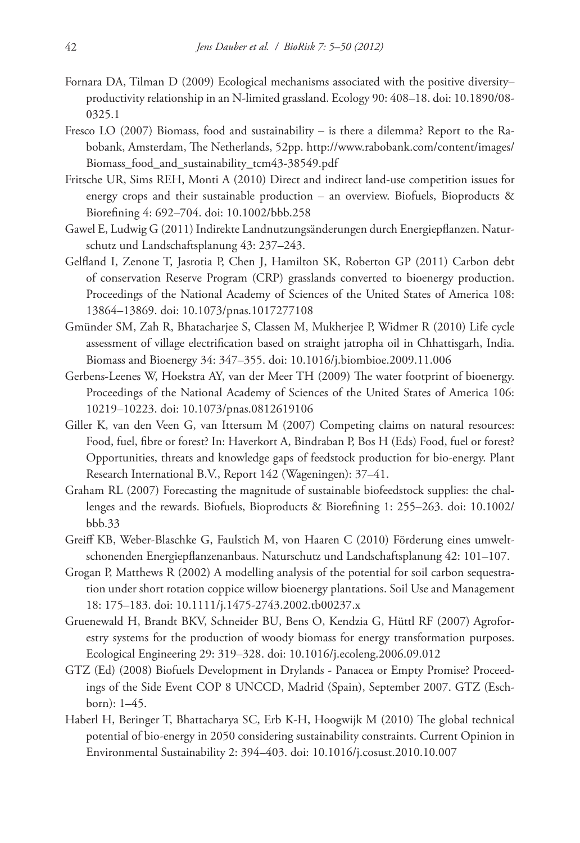- Fornara DA, Tilman D (2009) Ecological mechanisms associated with the positive diversity– productivity relationship in an N-limited grassland. Ecology 90: 408–18. [doi: 10.1890/08-](http://dx.doi.org/10.1890/08-0325.1) [0325.1](http://dx.doi.org/10.1890/08-0325.1)
- Fresco LO (2007) Biomass, food and sustainability is there a dilemma? Report to the Rabobank, Amsterdam, The Netherlands, 52pp. [http://www.rabobank.com/content/images/](http://www.rabobank.com/content/images/Biomass_food_and_sustainability_tcm43-38549.pdf) [Biomass\\_food\\_and\\_sustainability\\_tcm43-38549.pdf](http://www.rabobank.com/content/images/Biomass_food_and_sustainability_tcm43-38549.pdf)
- Fritsche UR, Sims REH, Monti A (2010) Direct and indirect land-use competition issues for energy crops and their sustainable production – an overview. Biofuels, Bioproducts & Biorefining 4: 692–704. [doi: 10.1002/bbb.258](http://dx.doi.org/10.1002/bbb.258)
- Gawel E, Ludwig G (2011) Indirekte Landnutzungsänderungen durch Energiepflanzen. Naturschutz und Landschaftsplanung 43: 237–243.
- Gelfland I, Zenone T, Jasrotia P, Chen J, Hamilton SK, Roberton GP (2011) Carbon debt of conservation Reserve Program (CRP) grasslands converted to bioenergy production. Proceedings of the National Academy of Sciences of the United States of America 108: 13864–13869. [doi: 10.1073/pnas.1017277108](http://dx.doi.org/10.1073/pnas.1017277108)
- Gmünder SM, Zah R, Bhatacharjee S, Classen M, Mukherjee P, Widmer R (2010) Life cycle assessment of village electrification based on straight jatropha oil in Chhattisgarh, India. Biomass and Bioenergy 34: 347–355. [doi: 10.1016/j.biombioe.2009.11.006](http://dx.doi.org/10.1016/j.biombioe.2009.11.006)
- Gerbens-Leenes W, Hoekstra AY, van der Meer TH (2009) The water footprint of bioenergy. Proceedings of the National Academy of Sciences of the United States of America 106: 10219–10223. [doi: 10.1073/pnas.0812619106](http://dx.doi.org/10.1073/pnas.0812619106)
- Giller K, van den Veen G, van Ittersum M (2007) Competing claims on natural resources: Food, fuel, fibre or forest? In: Haverkort A, Bindraban P, Bos H (Eds) Food, fuel or forest? Opportunities, threats and knowledge gaps of feedstock production for bio-energy. Plant Research International B.V., Report 142 (Wageningen): 37–41.
- Graham RL (2007) Forecasting the magnitude of sustainable biofeedstock supplies: the challenges and the rewards. Biofuels, Bioproducts & Biorefining 1: 255–263. [doi: 10.1002/](http://dx.doi.org/10.1002/bbb.33) [bbb.33](http://dx.doi.org/10.1002/bbb.33)
- Greiff KB, Weber-Blaschke G, Faulstich M, von Haaren C (2010) Förderung eines umweltschonenden Energiepflanzenanbaus. Naturschutz und Landschaftsplanung 42: 101–107.
- Grogan P, Matthews R (2002) A modelling analysis of the potential for soil carbon sequestration under short rotation coppice willow bioenergy plantations. Soil Use and Management 18: 175–183. [doi: 10.1111/j.1475-2743.2002.tb00237.x](http://dx.doi.org/10.1111/j.1475-2743.2002.tb00237.x)
- Gruenewald H, Brandt BKV, Schneider BU, Bens O, Kendzia G, Hüttl RF (2007) Agroforestry systems for the production of woody biomass for energy transformation purposes. Ecological Engineering 29: 319–328. [doi: 10.1016/j.ecoleng.2006.09.012](http://dx.doi.org/10.1016/j.ecoleng.2006.09.012)
- GTZ (Ed) (2008) Biofuels Development in Drylands Panacea or Empty Promise? Proceedings of the Side Event COP 8 UNCCD, Madrid (Spain), September 2007. GTZ (Eschborn): 1–45.
- Haberl H, Beringer T, Bhattacharya SC, Erb K-H, Hoogwijk M (2010) The global technical potential of bio-energy in 2050 considering sustainability constraints. Current Opinion in Environmental Sustainability 2: 394–403. [doi: 10.1016/j.cosust.2010.10.007](http://dx.doi.org/10.1016/j.cosust.2010.10.007)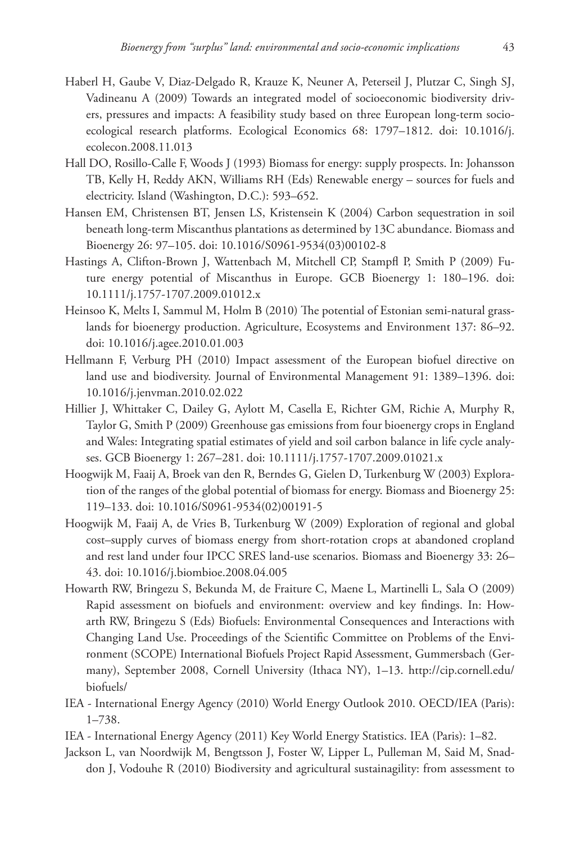- Haberl H, Gaube V, Diaz-Delgado R, Krauze K, Neuner A, Peterseil J, Plutzar C, Singh SJ, Vadineanu A (2009) Towards an integrated model of socioeconomic biodiversity drivers, pressures and impacts: A feasibility study based on three European long-term socioecological research platforms. Ecological Economics 68: 1797–1812. [doi: 10.1016/j.](http://dx.doi.org/10.1016/j.ecolecon.2008.11.013) [ecolecon.2008.11.013](http://dx.doi.org/10.1016/j.ecolecon.2008.11.013)
- Hall DO, Rosillo-Calle F, Woods J (1993) Biomass for energy: supply prospects. In: Johansson TB, Kelly H, Reddy AKN, Williams RH (Eds) Renewable energy – sources for fuels and electricity. Island (Washington, D.C.): 593–652.
- Hansen EM, Christensen BT, Jensen LS, Kristensein K (2004) Carbon sequestration in soil beneath long-term Miscanthus plantations as determined by 13C abundance. Biomass and Bioenergy 26: 97–105. [doi: 10.1016/S0961-9534\(03\)00102-8](http://dx.doi.org/10.1016/S0961-9534(03)00102-8)
- Hastings A, Clifton-Brown J, Wattenbach M, Mitchell CP, Stampfl P, Smith P (2009) Future energy potential of Miscanthus in Europe. GCB Bioenergy 1: 180–196. [doi:](http://dx.doi.org/10.1111/j.1757-1707.2009.01012.x) [10.1111/j.1757-1707.2009.01012.x](http://dx.doi.org/10.1111/j.1757-1707.2009.01012.x)
- Heinsoo K, Melts I, Sammul M, Holm B (2010) The potential of Estonian semi-natural grasslands for bioenergy production. Agriculture, Ecosystems and Environment 137: 86–92. [doi: 10.1016/j.agee.2010.01.003](http://dx.doi.org/10.1016/j.agee.2010.01.003)
- Hellmann F, Verburg PH (2010) Impact assessment of the European biofuel directive on land use and biodiversity. Journal of Environmental Management 91: 1389–1396. [doi:](http://dx.doi.org/10.1016/j.jenvman.2010.02.022) [10.1016/j.jenvman.2010.02.022](http://dx.doi.org/10.1016/j.jenvman.2010.02.022)
- Hillier J, Whittaker C, Dailey G, Aylott M, Casella E, Richter GM, Richie A, Murphy R, Taylor G, Smith P (2009) Greenhouse gas emissions from four bioenergy crops in England and Wales: Integrating spatial estimates of yield and soil carbon balance in life cycle analyses. GCB Bioenergy 1: 267–281. [doi: 10.1111/j.1757-1707.2009.01021.x](http://dx.doi.org/10.1111/j.1757-1707.2009.01021.x)
- Hoogwijk M, Faaij A, Broek van den R, Berndes G, Gielen D, Turkenburg W (2003) Exploration of the ranges of the global potential of biomass for energy. Biomass and Bioenergy 25: 119–133. [doi: 10.1016/S0961-9534\(02\)00191-5](http://dx.doi.org/10.1016/S0961-9534(02)00191-5)
- Hoogwijk M, Faaij A, de Vries B, Turkenburg W (2009) Exploration of regional and global cost–supply curves of biomass energy from short-rotation crops at abandoned cropland and rest land under four IPCC SRES land-use scenarios. Biomass and Bioenergy 33: 26– 43. [doi: 10.1016/j.biombioe.2008.04.005](http://dx.doi.org/10.1016/j.biombioe.2008.04.005)
- Howarth RW, Bringezu S, Bekunda M, de Fraiture C, Maene L, Martinelli L, Sala O (2009) Rapid assessment on biofuels and environment: overview and key findings. In: Howarth RW, Bringezu S (Eds) Biofuels: Environmental Consequences and Interactions with Changing Land Use. Proceedings of the Scientific Committee on Problems of the Environment (SCOPE) International Biofuels Project Rapid Assessment, Gummersbach (Germany), September 2008, Cornell University (Ithaca NY), 1–13. [http://cip.cornell.edu/](http://cip.cornell.edu/biofuels) [biofuels/](http://cip.cornell.edu/biofuels)
- IEA International Energy Agency (2010) World Energy Outlook 2010. OECD/IEA (Paris): 1–738.
- IEA International Energy Agency (2011) Key World Energy Statistics. IEA (Paris): 1–82.
- Jackson L, van Noordwijk M, Bengtsson J, Foster W, Lipper L, Pulleman M, Said M, Snaddon J, Vodouhe R (2010) Biodiversity and agricultural sustainagility: from assessment to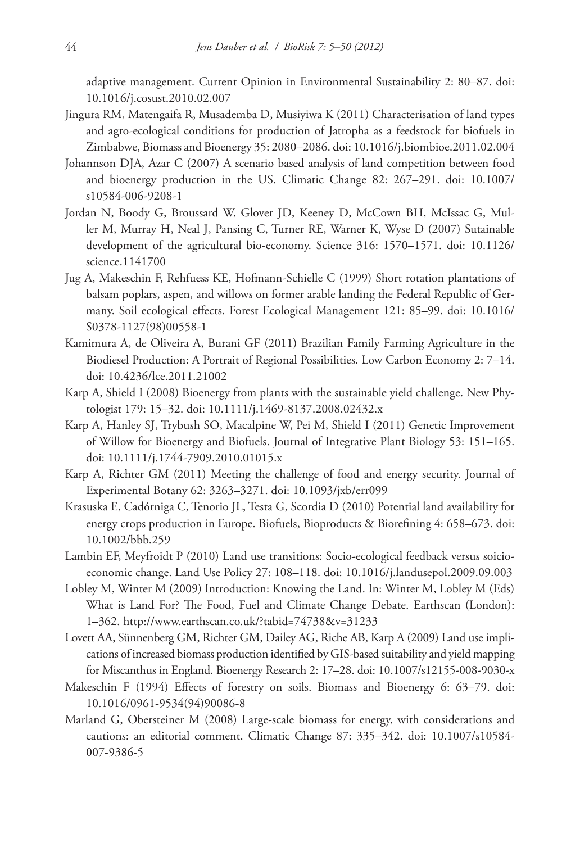adaptive management. Current Opinion in Environmental Sustainability 2: 80–87. [doi:](http://dx.doi.org/10.1016/j.cosust.2010.02.007) [10.1016/j.cosust.2010.02.007](http://dx.doi.org/10.1016/j.cosust.2010.02.007)

- Jingura RM, Matengaifa R, Musademba D, Musiyiwa K (2011) Characterisation of land types and agro-ecological conditions for production of Jatropha as a feedstock for biofuels in Zimbabwe, Biomass and Bioenergy 35: 2080–2086. [doi: 10.1016/j.biombioe.2011.02.004](http://dx.doi.org/10.1016/j.biombioe.2011.02.004)
- Johannson DJA, Azar C (2007) A scenario based analysis of land competition between food and bioenergy production in the US. Climatic Change 82: 267–291. [doi: 10.1007/](http://dx.doi.org/10.1007/s10584-006-9208-1) [s10584-006-9208-1](http://dx.doi.org/10.1007/s10584-006-9208-1)
- Jordan N, Boody G, Broussard W, Glover JD, Keeney D, McCown BH, McIssac G, Muller M, Murray H, Neal J, Pansing C, Turner RE, Warner K, Wyse D (2007) Sutainable development of the agricultural bio-economy. Science 316: 1570–1571. [doi: 10.1126/](http://dx.doi.org/10.1126/science.1141700) [science.1141700](http://dx.doi.org/10.1126/science.1141700)
- Jug A, Makeschin F, Rehfuess KE, Hofmann-Schielle C (1999) Short rotation plantations of balsam poplars, aspen, and willows on former arable landing the Federal Republic of Germany. Soil ecological effects. Forest Ecological Management 121: 85–99. [doi: 10.1016/](http://dx.doi.org/10.1016/S0378-1127(98)00558-1) [S0378-1127\(98\)00558-1](http://dx.doi.org/10.1016/S0378-1127(98)00558-1)
- Kamimura A, de Oliveira A, Burani GF (2011) Brazilian Family Farming Agriculture in the Biodiesel Production: A Portrait of Regional Possibilities. Low Carbon Economy 2: 7–14. [doi: 10.4236/lce.2011.21002](http://dx.doi.org/10.4236/lce.2011.21002)
- Karp A, Shield I (2008) Bioenergy from plants with the sustainable yield challenge. New Phytologist 179: 15–32. [doi: 10.1111/j.1469-8137.2008.02432.x](http://dx.doi.org/10.1111/j.1469-8137.2008.02432.x)
- Karp A, Hanley SJ, Trybush SO, Macalpine W, Pei M, Shield I (2011) Genetic Improvement of Willow for Bioenergy and Biofuels. Journal of Integrative Plant Biology 53: 151–165. [doi: 10.1111/j.1744-7909.2010.01015.x](http://dx.doi.org/10.1111/j.1744-7909.2010.01015.x)
- Karp A, Richter GM (2011) Meeting the challenge of food and energy security. Journal of Experimental Botany 62: 3263–3271. [doi: 10.1093/jxb/err099](http://dx.doi.org/10.1093/jxb/err099)
- Krasuska E, Cadórniga C, Tenorio JL, Testa G, Scordia D (2010) Potential land availability for energy crops production in Europe. Biofuels, Bioproducts & Biorefining 4: 658–673. [doi:](http://dx.doi.org/10.1002/bbb.259) [10.1002/bbb.259](http://dx.doi.org/10.1002/bbb.259)
- Lambin EF, Meyfroidt P (2010) Land use transitions: Socio-ecological feedback versus soicioeconomic change. Land Use Policy 27: 108–118. [doi: 10.1016/j.landusepol.2009.09.003](http://dx.doi.org/10.1016/j.landusepol.2009.09.003)
- Lobley M, Winter M (2009) Introduction: Knowing the Land. In: Winter M, Lobley M (Eds) What is Land For? The Food, Fuel and Climate Change Debate. Earthscan (London): 1–362.<http://www.earthscan.co.uk/?tabid=74738&v=31233>
- Lovett AA, Sünnenberg GM, Richter GM, Dailey AG, Riche AB, Karp A (2009) Land use implications of increased biomass production identified by GIS-based suitability and yield mapping for Miscanthus in England. Bioenergy Research 2: 17–28. [doi: 10.1007/s12155-008-9030-x](http://dx.doi.org/10.1007/s12155-008-9030-x)
- Makeschin F (1994) Effects of forestry on soils. Biomass and Bioenergy 6: 63–79. [doi:](http://dx.doi.org/10.1016/0961-9534(94)90086-8) [10.1016/0961-9534\(94\)90086-8](http://dx.doi.org/10.1016/0961-9534(94)90086-8)
- Marland G, Obersteiner M (2008) Large-scale biomass for energy, with considerations and cautions: an editorial comment. Climatic Change 87: 335–342. doi: 10.1007/s1058[4-](http://dx.doi.org/10.1007/s10584-007-9386-5) [007-9386-5](http://dx.doi.org/10.1007/s10584-007-9386-5)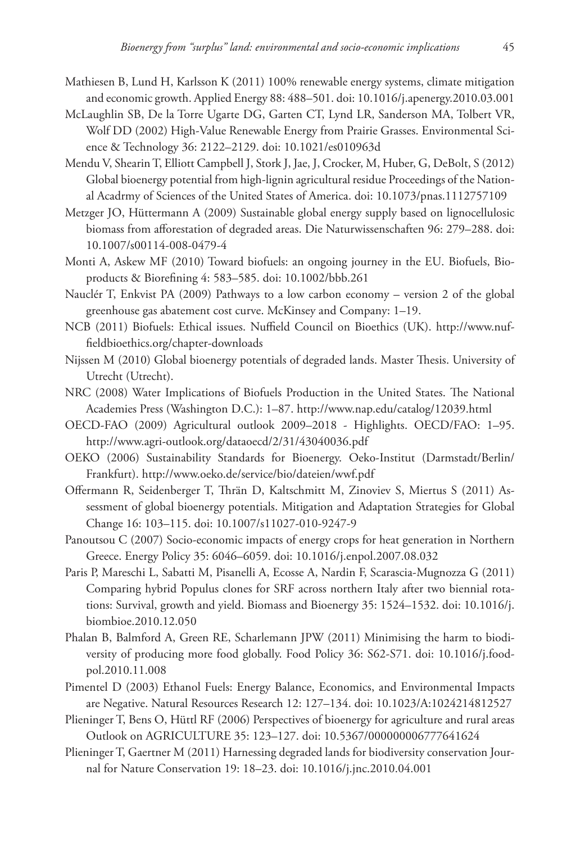- Mathiesen B, Lund H, Karlsson K (2011) 100% renewable energy systems, climate mitigation and economic growth. Applied Energy 88: 488–501. [doi: 10.1016/j.apenergy.2010.03.001](http://dx.doi.org/10.1016/j.apenergy.2010.03.001)
- McLaughlin SB, De la Torre Ugarte DG, Garten CT, Lynd LR, Sanderson MA, Tolbert VR, Wolf DD (2002) High-Value Renewable Energy from Prairie Grasses. Environmental Science & Technology 36: 2122–2129. [doi: 10.1021/es010963d](http://dx.doi.org/10.1021/es010963d)
- [Mendu](http://www.pnas.org/search?author1=Venugopal+Mendu&sortspec=date&submit=Submit) V, [Shearin](http://www.pnas.org/search?author1=Tom+Shearin&sortspec=date&submit=Submit) T, [Elliott Campbell J,](http://www.pnas.org/search?author1=J.+Elliott+Campbell,+Jr&sortspec=date&submit=Submit) [Stork](http://www.pnas.org/search?author1=Jozsef+Stork&sortspec=date&submit=Submit) J, [Jae,](http://www.pnas.org/search?author1=Jungho+Jae&sortspec=date&submit=Submit) J, [Crocker,](http://www.pnas.org/search?author1=Mark+Crocker&sortspec=date&submit=Submit) M, [Huber](http://www.pnas.org/search?author1=George+Huber&sortspec=date&submit=Submit), G, [DeBolt,](http://www.pnas.org/search?author1=Seth+DeBolt&sortspec=date&submit=Submit) S (2012) Global bioenergy potential from high-lignin agricultural residue Proceedings of the National Acadrmy of Sciences of the United States of America. [doi: 10.1073/pnas.1112757109](http://dx.doi.org/10.1073/pnas.1112757109)
- Metzger JO, Hüttermann A (2009) Sustainable global energy supply based on lignocellulosic biomass from afforestation of degraded areas. Die Naturwissenschaften 96: 279–288. [doi:](http://dx.doi.org/10.1007/s00114-008-0479-4) [10.1007/s00114-008-0479-4](http://dx.doi.org/10.1007/s00114-008-0479-4)
- Monti A, Askew MF (2010) Toward biofuels: an ongoing journey in the EU. Biofuels, Bioproducts & Biorefining 4: 583–585. [doi: 10.1002/bbb.261](http://dx.doi.org/10.1002/bbb.261)
- Nauclér T, Enkvist PA (2009) Pathways to a low carbon economy version 2 of the global greenhouse gas abatement cost curve. McKinsey and Company: 1–19.
- NCB (2011) Biofuels: Ethical issues. Nuffield Council on Bioethics (UK). [http://www.nuf](http://www.nuffieldbioethics.org/chapter-downloads)[fieldbioethics.org/chapter-downloads](http://www.nuffieldbioethics.org/chapter-downloads)
- Nijssen M (2010) Global bioenergy potentials of degraded lands. Master Thesis. University of Utrecht (Utrecht).
- NRC (2008) Water Implications of Biofuels Production in the United States. The National Academies Press (Washington D.C.): 1–87.<http://www.nap.edu/catalog/12039.html>
- OECD-FAO (2009) Agricultural outlook 2009–2018 Highlights. OECD/FAO: 1–95. <http://www.agri-outlook.org/dataoecd/2/31/43040036.pdf>
- OEKO (2006) Sustainability Standards for Bioenergy. Oeko-Institut (Darmstadt/Berlin/ Frankfurt). <http://www.oeko.de/service/bio/dateien/wwf.pdf>
- Offermann R, Seidenberger T, Thrän D, Kaltschmitt M, Zinoviev S, Miertus S (2011) Assessment of global bioenergy potentials. Mitigation and Adaptation Strategies for Global Change 16: 103–115. [doi: 10.1007/s11027-010-9247-9](http://dx.doi.org/10.1007/s11027-010-9247-9)
- Panoutsou C (2007) Socio-economic impacts of energy crops for heat generation in Northern Greece. Energy Policy 35: 6046–6059. [doi: 10.1016/j.enpol.2007.08.032](http://dx.doi.org/10.1016/j.enpol.2007.08.032)
- Paris P, Mareschi L, Sabatti M, Pisanelli A, Ecosse A, Nardin F, Scarascia-Mugnozza G (2011) Comparing hybrid Populus clones for SRF across northern Italy after two biennial rotations: Survival, growth and yield. Biomass and Bioenergy 35: 1524–1532. [doi: 10.1016/j.](http://dx.doi.org/10.1016/j.biombioe.2010.12.050) [biombioe.2010.12.050](http://dx.doi.org/10.1016/j.biombioe.2010.12.050)
- Phalan B, Balmford A, Green RE, Scharlemann JPW (2011) Minimising the harm to biodiversity of producing more food globally. Food Policy 36: S62-S71. [doi: 10.1016/j.food](http://dx.doi.org/10.1016/j.foodpol.2010.11.008)[pol.2010.11.008](http://dx.doi.org/10.1016/j.foodpol.2010.11.008)
- Pimentel D (2003) Ethanol Fuels: Energy Balance, Economics, and Environmental Impacts are Negative. Natural Resources Research 12: 127–134. [doi: 10.1023/A:1024214812527](http://dx.doi.org/10.1023/A:1024214812527)
- Plieninger T, Bens O, Hüttl RF (2006) Perspectives of bioenergy for agriculture and rural areas Outlook on AGRICULTURE 35: 123–127. [doi: 10.5367/000000006777641624](http://dx.doi.org/10.5367/000000006777641624)
- Plieninger T, Gaertner M (2011) Harnessing degraded lands for biodiversity conservation Journal for Nature Conservation 19: 18–23. [doi: 10.1016/j.jnc.2010.04.001](http://dx.doi.org/10.1016/j.jnc.2010.04.001)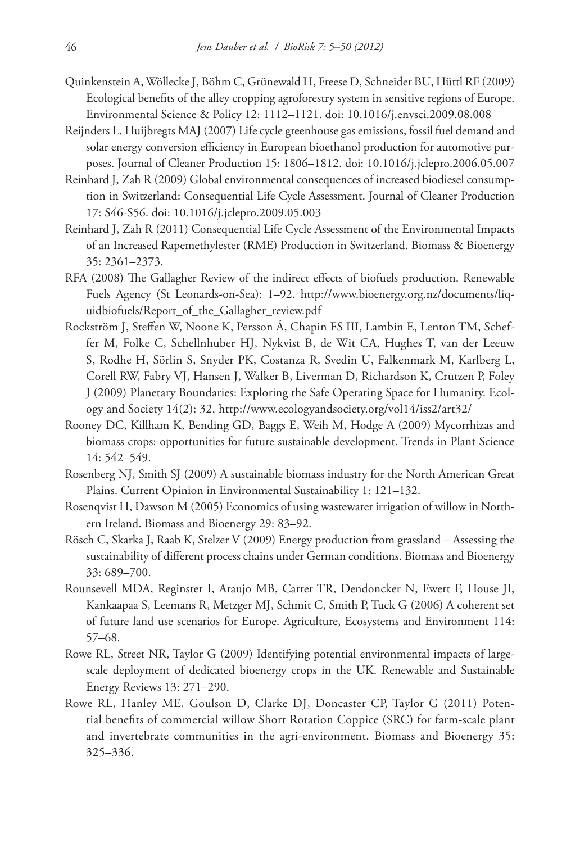- Quinkenstein A, Wöllecke J, Böhm C, Grünewald H, Freese D, Schneider BU, Hüttl RF (2009) Ecological benefits of the alley cropping agroforestry system in sensitive regions of Europe. Environmental Science & Policy 12: 1112–1121. [doi: 10.1016/j.envsci.2009.08.008](http://dx.doi.org/10.1016/j.envsci.2009.08.008)
- Reijnders L, Huijbregts MAJ (2007) Life cycle greenhouse gas emissions, fossil fuel demand and solar energy conversion efficiency in European bioethanol production for automotive purposes. Journal of Cleaner Production 15: 1806–1812. [doi: 10.1016/j.jclepro.2006.05.007](http://dx.doi.org/10.1016/j.jclepro.2006.05.007)
- Reinhard J, Zah R (2009) Global environmental consequences of increased biodiesel consumption in Switzerland: Consequential Life Cycle Assessment. Journal of Cleaner Production 17: S46-S56. [doi: 10.1016/j.jclepro.2009.05.003](http://dx.doi.org/10.1016/j.jclepro.2009.05.003)
- Reinhard J, Zah R (2011) Consequential Life Cycle Assessment of the Environmental Impacts of an Increased Rapemethylester (RME) Production in Switzerland. Biomass & Bioenergy 35: 2361–2373.
- RFA (2008) The Gallagher Review of the indirect effects of biofuels production. Renewable Fuels Agency (St Leonards-on-Sea): 1–92. [http://www.bioenergy.org.nz/documents/liq](http://www.bioenergy.org.nz/documents/liquidbiofuels/Report_of_the_Gallagher_review.pdf)[uidbiofuels/Report\\_of\\_the\\_Gallagher\\_review.pdf](http://www.bioenergy.org.nz/documents/liquidbiofuels/Report_of_the_Gallagher_review.pdf)
- Rockström J, Steffen W, Noone K, Persson Å, Chapin FS III, Lambin E, Lenton TM, Scheffer M, Folke C, Schellnhuber HJ, Nykvist B, de Wit CA, Hughes T, van der Leeuw S, Rodhe H, Sörlin S, Snyder PK, Costanza R, Svedin U, Falkenmark M, Karlberg L, Corell RW, Fabry VJ, Hansen J, Walker B, Liverman D, Richardson K, Crutzen P, Foley J (2009) Planetary Boundaries: Exploring the Safe Operating Space for Humanity. Ecology and Society 14(2): 32.<http://www.ecologyandsociety.org/vol14/iss2/art32>/
- Rooney DC, Killham K, Bending GD, Baggs E, Weih M, Hodge A (2009) Mycorrhizas and biomass crops: opportunities for future sustainable development. Trends in Plant Science 14: 542–549.
- Rosenberg NJ, Smith SJ (2009) A sustainable biomass industry for the North American Great Plains. Current Opinion in Environmental Sustainability 1: 121–132.
- Rosenqvist H, Dawson M (2005) Economics of using wastewater irrigation of willow in Northern Ireland. Biomass and Bioenergy 29: 83–92.
- Rösch C, Skarka J, Raab K, Stelzer V (2009) Energy production from grassland Assessing the sustainability of different process chains under German conditions. Biomass and Bioenergy 33: 689–700.
- Rounsevell MDA, Reginster I, Araujo MB, Carter TR, Dendoncker N, Ewert F, House JI, Kankaapaa S, Leemans R, Metzger MJ, Schmit C, Smith P, Tuck G (2006) A coherent set of future land use scenarios for Europe. Agriculture, Ecosystems and Environment 114: 57–68.
- Rowe RL, Street NR, Taylor G (2009) Identifying potential environmental impacts of largescale deployment of dedicated bioenergy crops in the UK. Renewable and Sustainable Energy Reviews 13: 271–290.
- Rowe RL, Hanley ME, Goulson D, Clarke DJ, Doncaster CP, Taylor G (2011) Potential benefits of commercial willow Short Rotation Coppice (SRC) for farm-scale plant and invertebrate communities in the agri-environment. Biomass and Bioenergy 35: 325–336.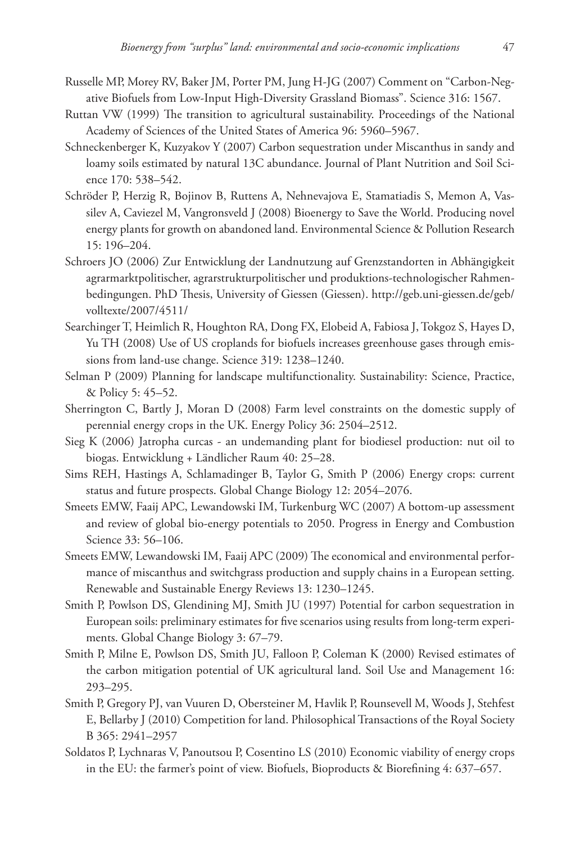- Russelle MP, Morey RV, Baker JM, Porter PM, Jung H-JG (2007) Comment on "Carbon-Negative Biofuels from Low-Input High-Diversity Grassland Biomass". Science 316: 1567.
- Ruttan VW (1999) The transition to agricultural sustainability. Proceedings of the National Academy of Sciences of the United States of America 96: 5960–5967.
- Schneckenberger K, Kuzyakov Y (2007) Carbon sequestration under Miscanthus in sandy and loamy soils estimated by natural 13C abundance. Journal of Plant Nutrition and Soil Science 170: 538–542.
- Schröder P, Herzig R, Bojinov B, Ruttens A, Nehnevajova E, Stamatiadis S, Memon A, Vassilev A, Caviezel M, Vangronsveld J (2008) Bioenergy to Save the World. Producing novel energy plants for growth on abandoned land. Environmental Science & Pollution Research 15: 196–204.
- Schroers JO (2006) Zur Entwicklung der Landnutzung auf Grenzstandorten in Abhängigkeit agrarmarktpolitischer, agrarstrukturpolitischer und produktions-technologischer Rahmenbedingungen. PhD Thesis, University of Giessen (Giessen). [http://geb.uni-giessen.de/geb/](http://geb.uni-giessen.de/geb/volltexte/2007/4511/) [volltexte/2007/4511/](http://geb.uni-giessen.de/geb/volltexte/2007/4511/)
- Searchinger T, Heimlich R, Houghton RA, Dong FX, Elobeid A, Fabiosa J, Tokgoz S, Hayes D, Yu TH (2008) Use of US croplands for biofuels increases greenhouse gases through emissions from land-use change. Science 319: 1238–1240.
- Selman P (2009) Planning for landscape multifunctionality. Sustainability: Science, Practice, & Policy 5: 45–52.
- Sherrington C, Bartly J, Moran D (2008) Farm level constraints on the domestic supply of perennial energy crops in the UK. Energy Policy 36: 2504–2512.
- Sieg K (2006) Jatropha curcas an undemanding plant for biodiesel production: nut oil to biogas. Entwicklung + Ländlicher Raum 40: 25–28.
- Sims REH, Hastings A, Schlamadinger B, Taylor G, Smith P (2006) Energy crops: current status and future prospects. Global Change Biology 12: 2054–2076.
- Smeets EMW, Faaij APC, Lewandowski IM, Turkenburg WC (2007) A bottom-up assessment and review of global bio-energy potentials to 2050. Progress in Energy and Combustion Science 33: 56–106.
- Smeets EMW, Lewandowski IM, Faaij APC (2009) The economical and environmental performance of miscanthus and switchgrass production and supply chains in a European setting. Renewable and Sustainable Energy Reviews 13: 1230–1245.
- Smith P, Powlson DS, Glendining MJ, Smith JU (1997) Potential for carbon sequestration in European soils: preliminary estimates for five scenarios using results from long-term experiments. Global Change Biology 3: 67–79.
- Smith P, Milne E, Powlson DS, Smith JU, Falloon P, Coleman K (2000) Revised estimates of the carbon mitigation potential of UK agricultural land. Soil Use and Management 16: 293–295.
- Smith P, Gregory PJ, van Vuuren D, Obersteiner M, Havlik P, Rounsevell M, Woods J, Stehfest E, Bellarby J (2010) Competition for land. Philosophical Transactions of the Royal Society B 365: 2941–2957
- Soldatos P, Lychnaras V, Panoutsou P, Cosentino LS (2010) Economic viability of energy crops in the EU: the farmer's point of view. Biofuels, Bioproducts & Biorefining 4: 637–657.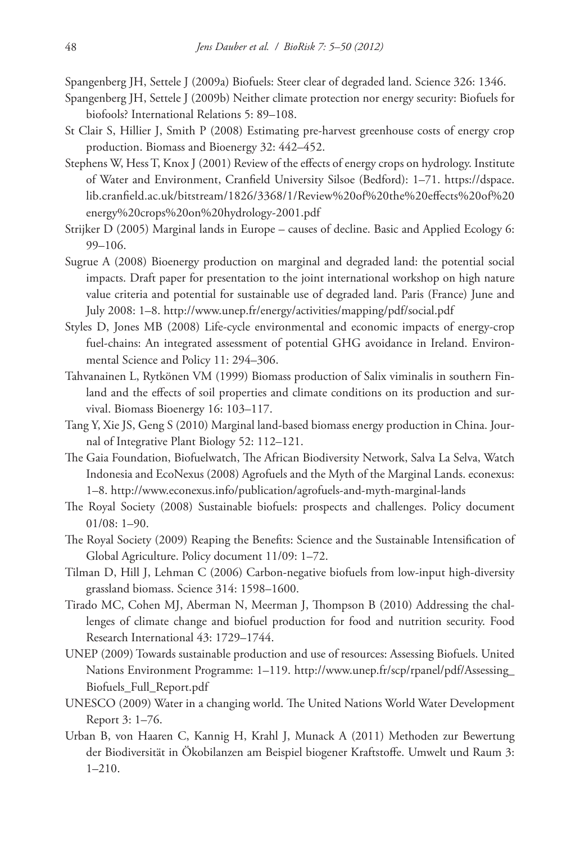Spangenberg JH, Settele J (2009a) Biofuels: Steer clear of degraded land. Science 326: 1346.

- Spangenberg JH, Settele J (2009b) Neither climate protection nor energy security: Biofuels for biofools? International Relations 5: 89–108.
- St Clair S, Hillier J, Smith P (2008) Estimating pre-harvest greenhouse costs of energy crop production. Biomass and Bioenergy 32: 442–452.
- Stephens W, Hess T, Knox J (2001) Review of the effects of energy crops on hydrology. Institute of Water and Environment, Cranfield University Silsoe (Bedford): 1–71. [https://dspace.](https://dspace.lib.cranfield.ac.uk/bitstream/1826/3368/1/Review%20of%20the%20effects%20of%20energy%20crops%20on%20hydrology-2001.pdf) [lib.cranfield.ac.uk/bitstream/1826/3368/1/Review%20of%20the%20effects%20of%20](https://dspace.lib.cranfield.ac.uk/bitstream/1826/3368/1/Review%20of%20the%20effects%20of%20energy%20crops%20on%20hydrology-2001.pdf) [energy%20crops%20on%20hydrology-2001.pdf](https://dspace.lib.cranfield.ac.uk/bitstream/1826/3368/1/Review%20of%20the%20effects%20of%20energy%20crops%20on%20hydrology-2001.pdf)
- Strijker D (2005) Marginal lands in Europe causes of decline. Basic and Applied Ecology 6: 99–106.
- Sugrue A (2008) Bioenergy production on marginal and degraded land: the potential social impacts. Draft paper for presentation to the joint international workshop on high nature value criteria and potential for sustainable use of degraded land. Paris (France) June and July 2008: 1–8.<http://www.unep.fr/energy/activities/mapping/pdf/social.pdf>
- Styles D, Jones MB (2008) Life-cycle environmental and economic impacts of energy-crop fuel-chains: An integrated assessment of potential GHG avoidance in Ireland. Environmental Science and Policy 11: 294–306.
- Tahvanainen L, Rytkönen VM (1999) Biomass production of Salix viminalis in southern Finland and the effects of soil properties and climate conditions on its production and survival. Biomass Bioenergy 16: 103–117.
- Tang Y, Xie JS, Geng S (2010) Marginal land-based biomass energy production in China. Journal of Integrative Plant Biology 52: 112–121.
- The Gaia Foundation, Biofuelwatch, The African Biodiversity Network, Salva La Selva, Watch Indonesia and EcoNexus (2008) Agrofuels and the Myth of the Marginal Lands. econexus: 1–8.<http://www.econexus.info/publication/agrofuels-and-myth-marginal-lands>
- The Royal Society (2008) Sustainable biofuels: prospects and challenges. Policy document 01/08: 1–90.
- The Royal Society (2009) Reaping the Benefits: Science and the Sustainable Intensification of Global Agriculture. Policy document 11/09: 1–72.
- Tilman D, Hill J, Lehman C (2006) Carbon-negative biofuels from low-input high-diversity grassland biomass. Science 314: 1598–1600.
- Tirado MC, Cohen MJ, Aberman N, Meerman J, Thompson B (2010) Addressing the challenges of climate change and biofuel production for food and nutrition security. Food Research International 43: 1729–1744.
- UNEP (2009) Towards sustainable production and use of resources: Assessing Biofuels. United Nations Environment Programme: 1–119. [http://www.unep.fr/scp/rpanel/pdf/Assessing\\_](http://www.unep.fr/scp/rpanel/pdf/Assessing_Biofuels_Full_Report.pdf) [Biofuels\\_Full\\_Report.pdf](http://www.unep.fr/scp/rpanel/pdf/Assessing_Biofuels_Full_Report.pdf)
- UNESCO (2009) Water in a changing world. The United Nations World Water Development Report 3: 1–76.
- Urban B, von Haaren C, Kannig H, Krahl J, Munack A (2011) Methoden zur Bewertung der Biodiversität in Ökobilanzen am Beispiel biogener Kraftstoffe. Umwelt und Raum 3: 1–210.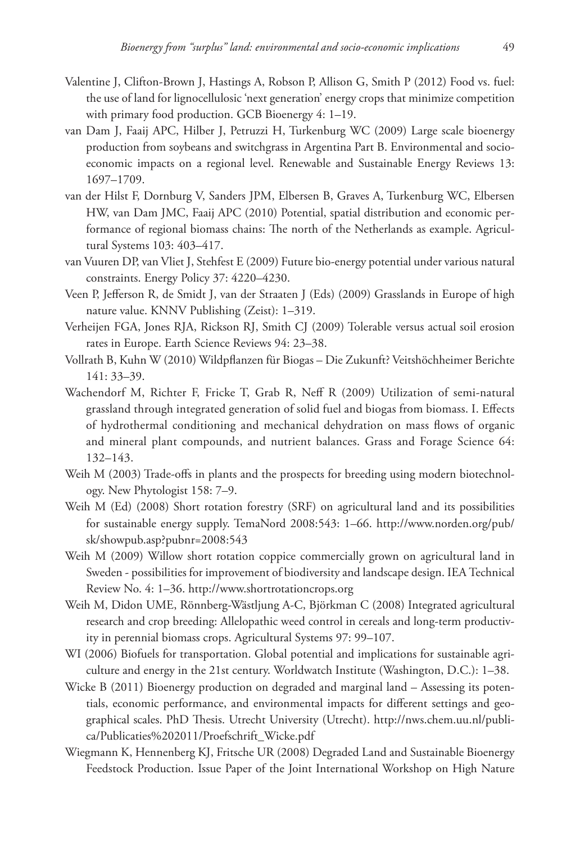- Valentine J, Clifton-Brown J, Hastings A, Robson P, Allison G, Smith P (2012) Food vs. fuel: the use of land for lignocellulosic 'next generation' energy crops that minimize competition with primary food production. GCB Bioenergy 4: 1–19.
- van Dam J, Faaij APC, Hilber J, Petruzzi H, Turkenburg WC (2009) Large scale bioenergy production from soybeans and switchgrass in Argentina Part B. Environmental and socioeconomic impacts on a regional level. Renewable and Sustainable Energy Reviews 13: 1697–1709.
- van der Hilst F, Dornburg V, Sanders JPM, Elbersen B, Graves A, Turkenburg WC, Elbersen HW, van Dam JMC, Faaij APC (2010) Potential, spatial distribution and economic performance of regional biomass chains: The north of the Netherlands as example. Agricultural Systems 103: 403–417.
- van Vuuren DP, van Vliet J, Stehfest E (2009) Future bio-energy potential under various natural constraints. Energy Policy 37: 4220–4230.
- Veen P, Jefferson R, de Smidt J, van der Straaten J (Eds) (2009) Grasslands in Europe of high nature value. KNNV Publishing (Zeist): 1–319.
- Verheijen FGA, Jones RJA, Rickson RJ, Smith CJ (2009) Tolerable versus actual soil erosion rates in Europe. Earth Science Reviews 94: 23–38.
- Vollrath B, Kuhn W (2010) Wildpflanzen für Biogas Die Zukunft? Veitshöchheimer Berichte 141: 33–39.
- Wachendorf M, Richter F, Fricke T, Grab R, Neff R (2009) Utilization of semi-natural grassland through integrated generation of solid fuel and biogas from biomass. I. Effects of hydrothermal conditioning and mechanical dehydration on mass flows of organic and mineral plant compounds, and nutrient balances. Grass and Forage Science 64: 132–143.
- Weih M (2003) Trade-offs in plants and the prospects for breeding using modern biotechnology. New Phytologist 158: 7–9.
- Weih M (Ed) (2008) Short rotation forestry (SRF) on agricultural land and its possibilities for sustainable energy supply. TemaNord 2008:543: 1–66. [http://www.norden.org/pub/](http://www.norden.org/pub/sk/showpub.asp?pubnr=2008:543) [sk/showpub.asp?pubnr=2008:543](http://www.norden.org/pub/sk/showpub.asp?pubnr=2008:543)
- Weih M (2009) Willow short rotation coppice commercially grown on agricultural land in Sweden - possibilities for improvement of biodiversity and landscape design. IEA Technical Review No. 4: 1–36. http:/[/www.shortrotationcrops.org](http://www.shortrotationcrops.org/)
- Weih M, Didon UME, Rönnberg-Wästljung A-C, Björkman C (2008) Integrated agricultural research and crop breeding: Allelopathic weed control in cereals and long-term productivity in perennial biomass crops. Agricultural Systems 97: 99–107.
- WI (2006) Biofuels for transportation. Global potential and implications for sustainable agriculture and energy in the 21st century. Worldwatch Institute (Washington, D.C.): 1–38.
- Wicke B (2011) Bioenergy production on degraded and marginal land Assessing its potentials, economic performance, and environmental impacts for different settings and geographical scales. PhD Thesis. Utrecht University (Utrecht). [http://nws.chem.uu.nl/publi](http://nws.chem.uu.nl/publica/Publicaties%202011/Proefschrift_Wicke.pdf)[ca/Publicaties%202011/Proefschrift\\_Wicke.pdf](http://nws.chem.uu.nl/publica/Publicaties%202011/Proefschrift_Wicke.pdf)
- Wiegmann K, Hennenberg KJ, Fritsche UR (2008) Degraded Land and Sustainable Bioenergy Feedstock Production. Issue Paper of the Joint International Workshop on High Nature